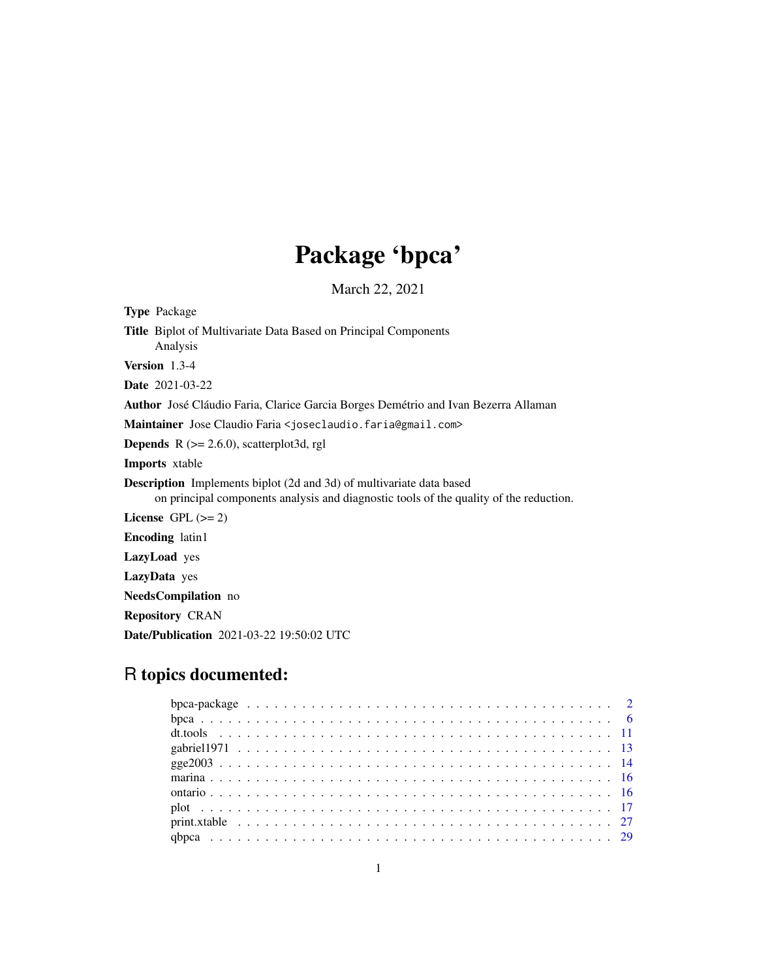# Package 'bpca'

March 22, 2021

<span id="page-0-0"></span>Type Package Title Biplot of Multivariate Data Based on Principal Components Analysis Version 1.3-4 Date 2021-03-22 Author José Cláudio Faria, Clarice Garcia Borges Demétrio and Ivan Bezerra Allaman Maintainer Jose Claudio Faria <joseclaudio.faria@gmail.com> **Depends**  $R$  ( $>= 2.6.0$ ), scatterplot3d, rgl Imports xtable Description Implements biplot (2d and 3d) of multivariate data based on principal components analysis and diagnostic tools of the quality of the reduction. License GPL  $(>= 2)$ Encoding latin1 LazyLoad yes LazyData yes NeedsCompilation no Repository CRAN Date/Publication 2021-03-22 19:50:02 UTC

# R topics documented: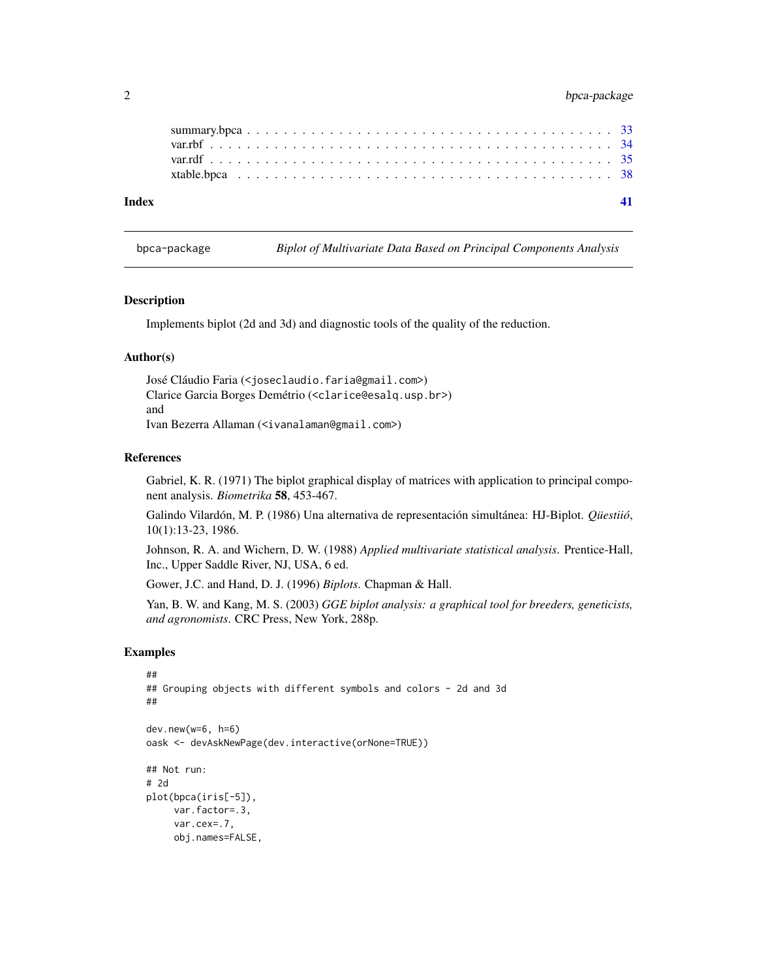# <span id="page-1-0"></span>2 bpca-package

| Index |  |  |  |  |  |  |  |  |  |  |  |  |  |  |  |  |  |  |  |
|-------|--|--|--|--|--|--|--|--|--|--|--|--|--|--|--|--|--|--|--|
|       |  |  |  |  |  |  |  |  |  |  |  |  |  |  |  |  |  |  |  |
|       |  |  |  |  |  |  |  |  |  |  |  |  |  |  |  |  |  |  |  |
|       |  |  |  |  |  |  |  |  |  |  |  |  |  |  |  |  |  |  |  |
|       |  |  |  |  |  |  |  |  |  |  |  |  |  |  |  |  |  |  |  |

bpca-package *Biplot of Multivariate Data Based on Principal Components Analysis*

#### Description

Implements biplot (2d and 3d) and diagnostic tools of the quality of the reduction.

#### Author(s)

José Cláudio Faria (<joseclaudio.faria@gmail.com>) Clarice Garcia Borges Demétrio (<clarice@esalq.usp.br>) and Ivan Bezerra Allaman (<ivanalaman@gmail.com>)

# References

Gabriel, K. R. (1971) The biplot graphical display of matrices with application to principal component analysis. *Biometrika* 58, 453-467.

Galindo Vilardón, M. P. (1986) Una alternativa de representación simultánea: HJ-Biplot. *Qüestiió*, 10(1):13-23, 1986.

Johnson, R. A. and Wichern, D. W. (1988) *Applied multivariate statistical analysis*. Prentice-Hall, Inc., Upper Saddle River, NJ, USA, 6 ed.

Gower, J.C. and Hand, D. J. (1996) *Biplots*. Chapman & Hall.

Yan, B. W. and Kang, M. S. (2003) *GGE biplot analysis: a graphical tool for breeders, geneticists, and agronomists*. CRC Press, New York, 288p.

```
##
## Grouping objects with different symbols and colors - 2d and 3d
##
dev.new(w=6, h=6)
oask <- devAskNewPage(dev.interactive(orNone=TRUE))
## Not run:
# 2d
plot(bpca(iris[-5]),
    var.factor=.3,
    var.cex=.7,
    obj.names=FALSE,
```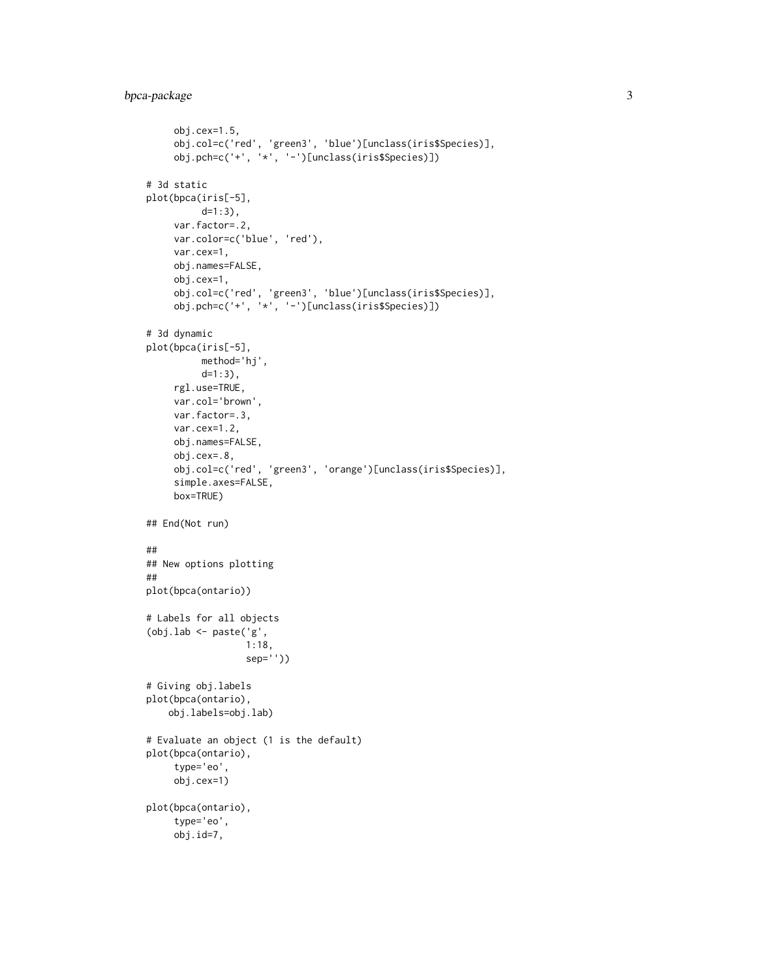```
obj.cex=1.5,
     obj.col=c('red', 'green3', 'blue')[unclass(iris$Species)],
     obj.pch=c('+', '*', '-')[unclass(iris$Species)])
# 3d static
plot(bpca(iris[-5],
          d=1:3),
     var.factor=.2,
     var.color=c('blue', 'red'),
     var.cex=1,
     obj.names=FALSE,
     obj.cex=1,
     obj.col=c('red', 'green3', 'blue')[unclass(iris$Species)],
     obj.pch=c('+', '*', '-')[unclass(iris$Species)])
# 3d dynamic
plot(bpca(iris[-5],
          method='hj',
          d=1:3),
     rgl.use=TRUE,
     var.col='brown',
    var.factor=.3,
    var.cex=1.2,
     obj.names=FALSE,
     obj.cex=.8,
     obj.col=c('red', 'green3', 'orange')[unclass(iris$Species)],
     simple.axes=FALSE,
     box=TRUE)
## End(Not run)
##
## New options plotting
##
plot(bpca(ontario))
# Labels for all objects
(obj.lab <- paste('g',
                  1:18,
                  sep=''))
# Giving obj.labels
plot(bpca(ontario),
    obj.labels=obj.lab)
# Evaluate an object (1 is the default)
plot(bpca(ontario),
     type='eo',
     obj.cex=1)
plot(bpca(ontario),
     type='eo',
     obj.id=7,
```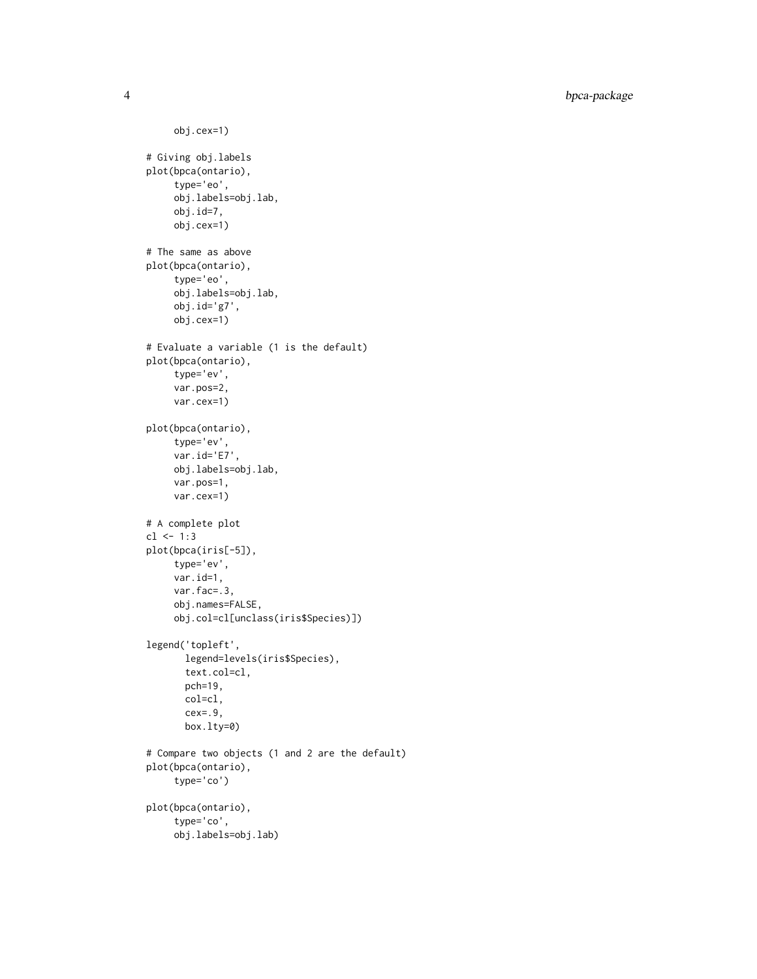4 bpca-package

```
obj.cex=1)
# Giving obj.labels
plot(bpca(ontario),
     type='eo',
     obj.labels=obj.lab,
     obj.id=7,
     obj.cex=1)
# The same as above
plot(bpca(ontario),
     type='eo',
     obj.labels=obj.lab,
     obj.id='g7',obj.cex=1)
# Evaluate a variable (1 is the default)
plot(bpca(ontario),
     type='ev',
     var.pos=2,
     var.cex=1)
plot(bpca(ontario),
     type='ev',
     var.id='E7',
     obj.labels=obj.lab,
     var.pos=1,
     var.cex=1)
# A complete plot
cl < -1:3plot(bpca(iris[-5]),
     type='ev',
     var.id=1,
     var.fac=.3,
     obj.names=FALSE,
     obj.col=cl[unclass(iris$Species)])
legend('topleft',
       legend=levels(iris$Species),
       text.col=cl,
       pch=19,
       col=cl,
       cex=.9,
       box.lty=0)
# Compare two objects (1 and 2 are the default)
plot(bpca(ontario),
     type='co')
plot(bpca(ontario),
     type='co',
     obj.labels=obj.lab)
```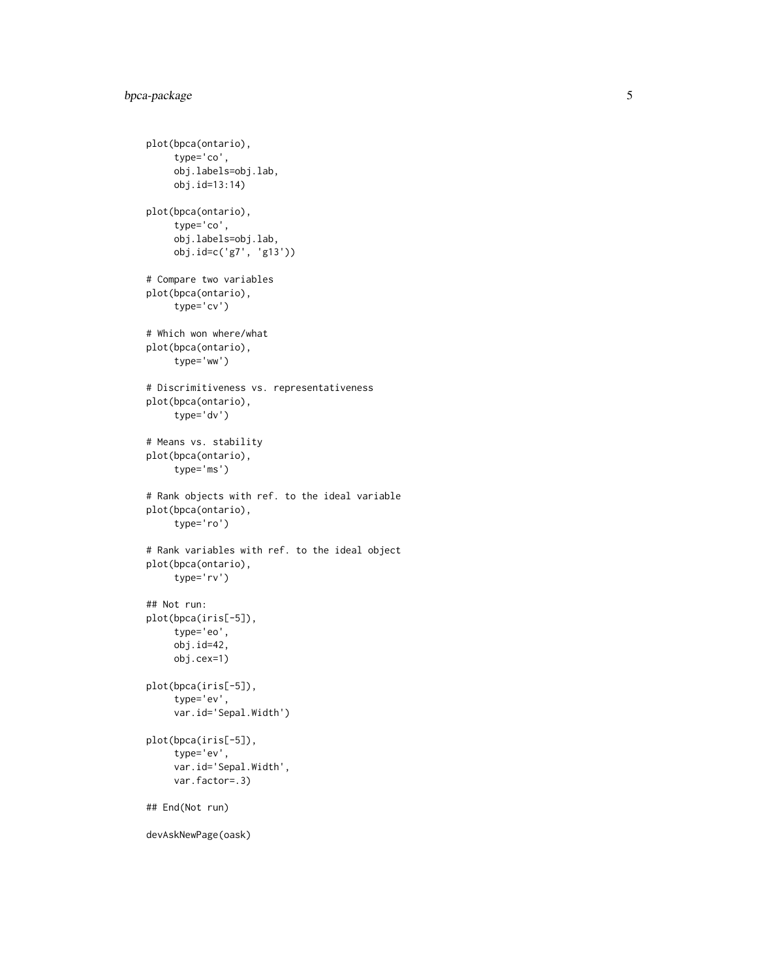```
plot(bpca(ontario),
     type='co',
     obj.labels=obj.lab,
     obj.id=13:14)
plot(bpca(ontario),
     type='co',
     obj.labels=obj.lab,
     obj.id=c('g7', 'g13'))
# Compare two variables
plot(bpca(ontario),
     type='cv')
# Which won where/what
plot(bpca(ontario),
     type='ww')
# Discrimitiveness vs. representativeness
plot(bpca(ontario),
     type='dv')
# Means vs. stability
plot(bpca(ontario),
     type='ms')
# Rank objects with ref. to the ideal variable
plot(bpca(ontario),
     type='ro')
# Rank variables with ref. to the ideal object
plot(bpca(ontario),
     type='rv')
## Not run:
plot(bpca(iris[-5]),
     type='eo',
     obj.id=42,
     obj.cex=1)
plot(bpca(iris[-5]),
     type='ev',
     var.id='Sepal.Width')
plot(bpca(iris[-5]),
     type='ev',
     var.id='Sepal.Width',
     var.factor=.3)
## End(Not run)
devAskNewPage(oask)
```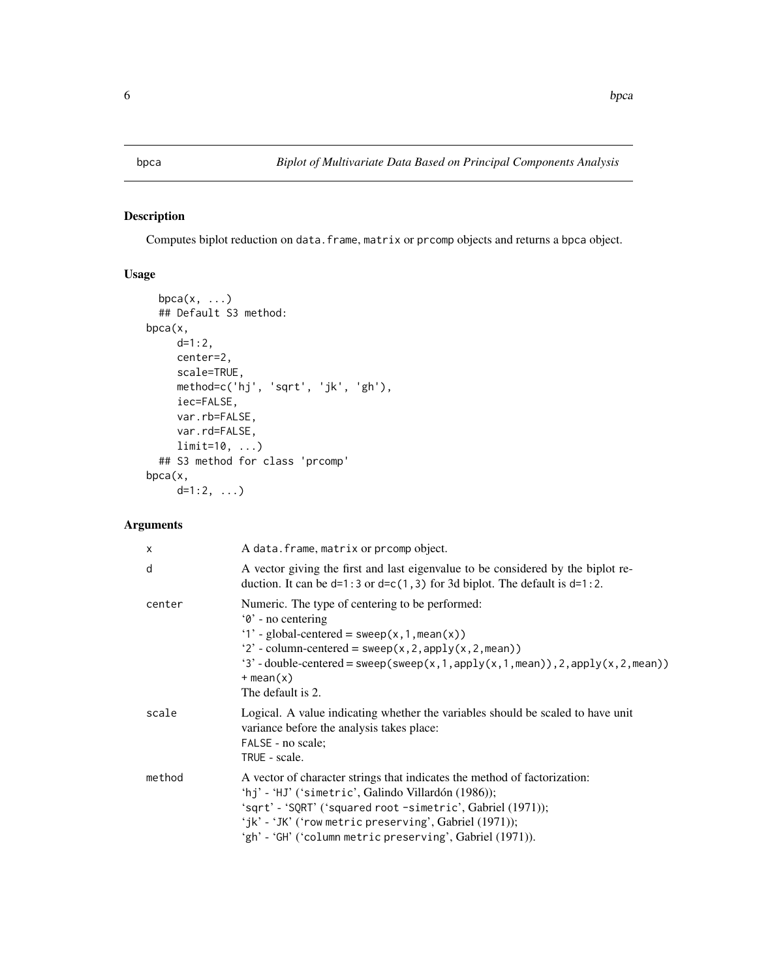<span id="page-5-1"></span><span id="page-5-0"></span>

# Description

Computes biplot reduction on data.frame, matrix or prcomp objects and returns a bpca object.

# Usage

```
bpca(x, \ldots)## Default S3 method:
bpca(x,
    d=1:2,
     center=2,
     scale=TRUE,
    method=c('hj', 'sqrt', 'jk', 'gh'),
     iec=FALSE,
     var.rb=FALSE,
     var.rd=FALSE,
     limit=10, ...)
  ## S3 method for class 'prcomp'
bpca(x,
     d=1:2, ...
```
# Arguments

| $\times$ | A data. frame, matrix or prcomp object.                                                                                                                                                                                                                                                                                   |
|----------|---------------------------------------------------------------------------------------------------------------------------------------------------------------------------------------------------------------------------------------------------------------------------------------------------------------------------|
| d        | A vector giving the first and last eigenvalue to be considered by the biplot re-<br>duction. It can be $d=1:3$ or $d=c(1,3)$ for 3d biplot. The default is $d=1:2$ .                                                                                                                                                      |
| center   | Numeric. The type of centering to be performed:<br>'0' - no centering<br>'1' - global-centered = $s$ weep(x, 1, mean(x))<br>'2' - column-centered = $sweep(x, 2, apply(x, 2, mean))$<br>'3' - double-centered = sweep(sweep(x, 1, apply(x, 1, mean)), 2, apply(x, 2, mean))<br>$+$ mean $(x)$<br>The default is 2.        |
| scale    | Logical. A value indicating whether the variables should be scaled to have unit<br>variance before the analysis takes place:<br>FALSE - no scale;<br>TRUE - scale.                                                                                                                                                        |
| method   | A vector of character strings that indicates the method of factorization:<br>'hj' - 'HJ' ('simetric', Galindo Villardón (1986));<br>'sqrt' - 'SQRT' ('squared root -simetric', Gabriel (1971));<br>'jk' - 'JK' ('row metric preserving', Gabriel $(1971)$ );<br>'gh' - 'GH' ('column metric preserving', Gabriel (1971)). |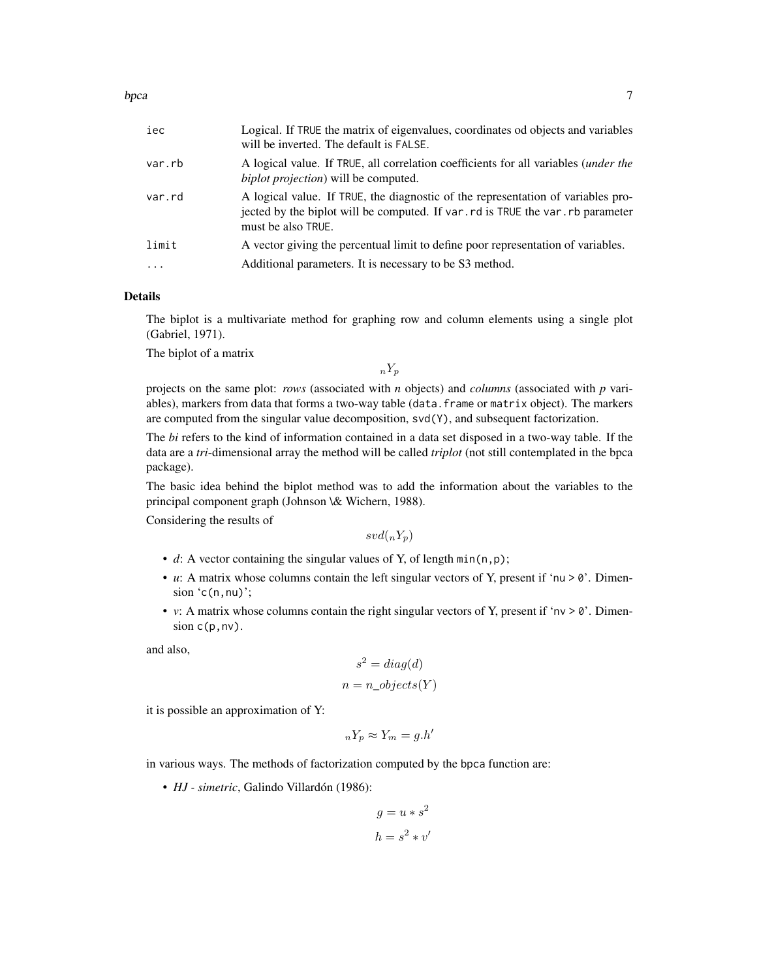| iec                              | Logical. If TRUE the matrix of eigenvalues, coordinates od objects and variables<br>will be inverted. The default is FALSE.                                                               |
|----------------------------------|-------------------------------------------------------------------------------------------------------------------------------------------------------------------------------------------|
| var.rb                           | A logical value. If TRUE, all correlation coefficients for all variables ( <i>under the</i><br><i>biplot projection</i> ) will be computed.                                               |
| var.rd                           | A logical value. If TRUE, the diagnostic of the representation of variables pro-<br>jected by the biplot will be computed. If var, rd is TRUE the var, rb parameter<br>must be also TRUE. |
| limit<br>$\cdot$ $\cdot$ $\cdot$ | A vector giving the percentual limit to define poor representation of variables.<br>Additional parameters. It is necessary to be S3 method.                                               |
|                                  |                                                                                                                                                                                           |

#### Details

The biplot is a multivariate method for graphing row and column elements using a single plot (Gabriel, 1971).

The biplot of a matrix

 $nY_p$ 

projects on the same plot: *rows* (associated with *n* objects) and *columns* (associated with *p* variables), markers from data that forms a two-way table (data.frame or matrix object). The markers are computed from the singular value decomposition,  $svd(Y)$ , and subsequent factorization.

The *bi* refers to the kind of information contained in a data set disposed in a two-way table. If the data are a *tri*-dimensional array the method will be called *triplot* (not still contemplated in the bpca package).

The basic idea behind the biplot method was to add the information about the variables to the principal component graph (Johnson \& Wichern, 1988).

Considering the results of

 $svd(_nY_p)$ 

- *d*: A vector containing the singular values of Y, of length  $min(n, p)$ ;
- *u*: A matrix whose columns contain the left singular vectors of Y, present if 'nu  $> 0$ '. Dimension  $(c(n,nu))$ ;
- *v*: A matrix whose columns contain the right singular vectors of Y, present if 'nv  $> 0$ '. Dimension  $c(p, nv)$ .

and also,

$$
s2 = diag(d)
$$

$$
n = n\_objects(Y)
$$

it is possible an approximation of Y:

$$
{}_{n}Y_{p} \approx Y_{m} = g.h'
$$

in various ways. The methods of factorization computed by the bpca function are:

• *HJ - simetric*, Galindo Villardón (1986):

$$
g = u * s^2
$$

$$
h = s^2 * v'
$$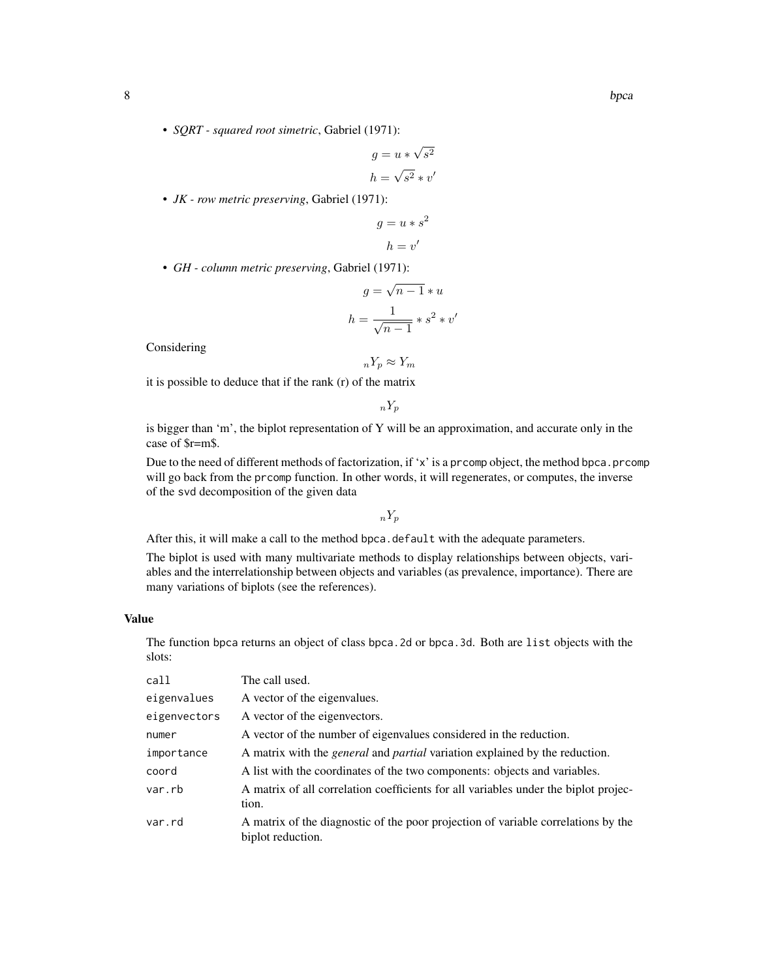• *SQRT - squared root simetric*, Gabriel (1971):

$$
g = u * \sqrt{s^2}
$$

$$
h = \sqrt{s^2} * v'
$$

• *JK - row metric preserving*, Gabriel (1971):

$$
g = u * s^2
$$

$$
h = v'
$$

• *GH - column metric preserving*, Gabriel (1971):

$$
g = \sqrt{n-1} * u
$$

$$
h = \frac{1}{\sqrt{n-1}} * s^2 * v'
$$

Considering

$$
{}_nY_p \approx Y_m
$$

it is possible to deduce that if the rank (r) of the matrix

 $nY_p$ 

is bigger than 'm', the biplot representation of Y will be an approximation, and accurate only in the case of \$r=m\$.

Due to the need of different methods of factorization, if 'x' is a prcomp object, the method bpca.prcomp will go back from the prcomp function. In other words, it will regenerates, or computes, the inverse of the svd decomposition of the given data

 $nY_p$ 

After this, it will make a call to the method bpca.default with the adequate parameters.

The biplot is used with many multivariate methods to display relationships between objects, variables and the interrelationship between objects and variables (as prevalence, importance). There are many variations of biplots (see the references).

# Value

The function bpca returns an object of class bpca.2d or bpca.3d. Both are list objects with the slots:

| call         | The call used.                                                                                         |
|--------------|--------------------------------------------------------------------------------------------------------|
| eigenvalues  | A vector of the eigenvalues.                                                                           |
| eigenvectors | A vector of the eigenvectors.                                                                          |
| numer        | A vector of the number of eigenvalues considered in the reduction.                                     |
| importance   | A matrix with the <i>general</i> and <i>partial</i> variation explained by the reduction.              |
| coord        | A list with the coordinates of the two components: objects and variables.                              |
| var.rb       | A matrix of all correlation coefficients for all variables under the biplot projec-<br>tion.           |
| var.rd       | A matrix of the diagnostic of the poor projection of variable correlations by the<br>biplot reduction. |
|              |                                                                                                        |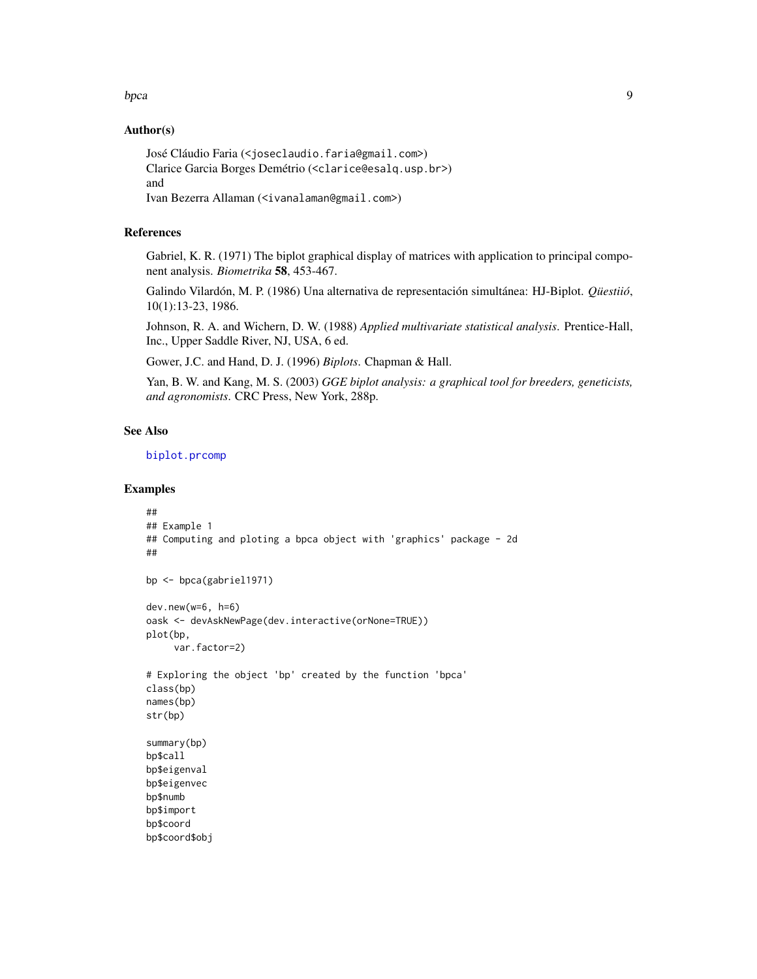#### <span id="page-8-0"></span>bpca 30 and 30 and 30 and 30 and 30 and 30 and 30 and 30 and 30 and 30 and 30 and 30 and 30 and 30 and 30 and 30 and 30 and 30 and 30 and 30 and 30 and 30 and 30 and 30 and 30 and 30 and 30 and 30 and 30 and 30 and 30 and

#### Author(s)

José Cláudio Faria (<joseclaudio.faria@gmail.com>) Clarice Garcia Borges Demétrio (<clarice@esalq.usp.br>) and Ivan Bezerra Allaman (<ivanalaman@gmail.com>)

# References

Gabriel, K. R. (1971) The biplot graphical display of matrices with application to principal component analysis. *Biometrika* 58, 453-467.

Galindo Vilardón, M. P. (1986) Una alternativa de representación simultánea: HJ-Biplot. *Qüestiió*, 10(1):13-23, 1986.

Johnson, R. A. and Wichern, D. W. (1988) *Applied multivariate statistical analysis*. Prentice-Hall, Inc., Upper Saddle River, NJ, USA, 6 ed.

Gower, J.C. and Hand, D. J. (1996) *Biplots*. Chapman & Hall.

Yan, B. W. and Kang, M. S. (2003) *GGE biplot analysis: a graphical tool for breeders, geneticists, and agronomists*. CRC Press, New York, 288p.

#### See Also

[biplot.prcomp](#page-0-0)

```
##
## Example 1
## Computing and ploting a bpca object with 'graphics' package - 2d
##
bp <- bpca(gabriel1971)
dev.new(w=6, h=6)
oask <- devAskNewPage(dev.interactive(orNone=TRUE))
plot(bp,
     var.factor=2)
# Exploring the object 'bp' created by the function 'bpca'
class(bp)
names(bp)
str(bp)
summary(bp)
bp$call
bp$eigenval
bp$eigenvec
bp$numb
bp$import
bp$coord
bp$coord$obj
```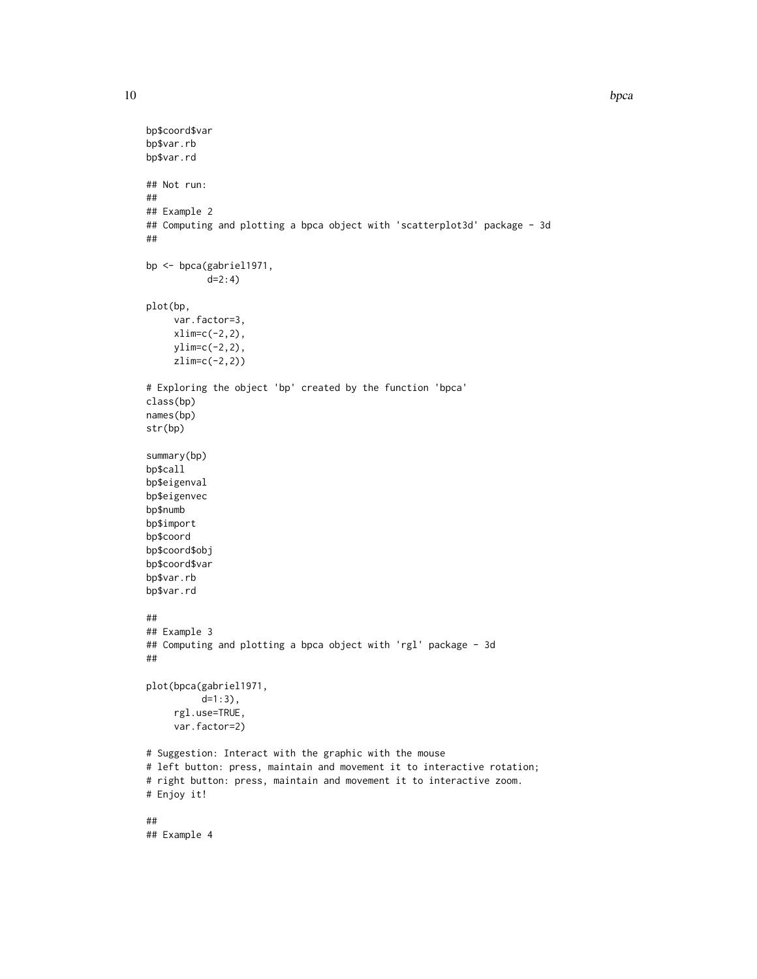```
bp$coord$var
bp$var.rb
bp$var.rd
## Not run:
##
## Example 2
## Computing and plotting a bpca object with 'scatterplot3d' package - 3d
##
bp <- bpca(gabriel1971,
           d=2:4)
plot(bp,
     var.factor=3,
     xlim=c(-2,2),
    ylim=c(-2,2),
     zlim=c(-2,2))
# Exploring the object 'bp' created by the function 'bpca'
class(bp)
names(bp)
str(bp)
summary(bp)
bp$call
bp$eigenval
bp$eigenvec
bp$numb
bp$import
bp$coord
bp$coord$obj
bp$coord$var
bp$var.rb
bp$var.rd
##
## Example 3
## Computing and plotting a bpca object with 'rgl' package - 3d
##
plot(bpca(gabriel1971,
          d=1:3),
     rgl.use=TRUE,
     var.factor=2)
# Suggestion: Interact with the graphic with the mouse
# left button: press, maintain and movement it to interactive rotation;
# right button: press, maintain and movement it to interactive zoom.
# Enjoy it!
##
## Example 4
```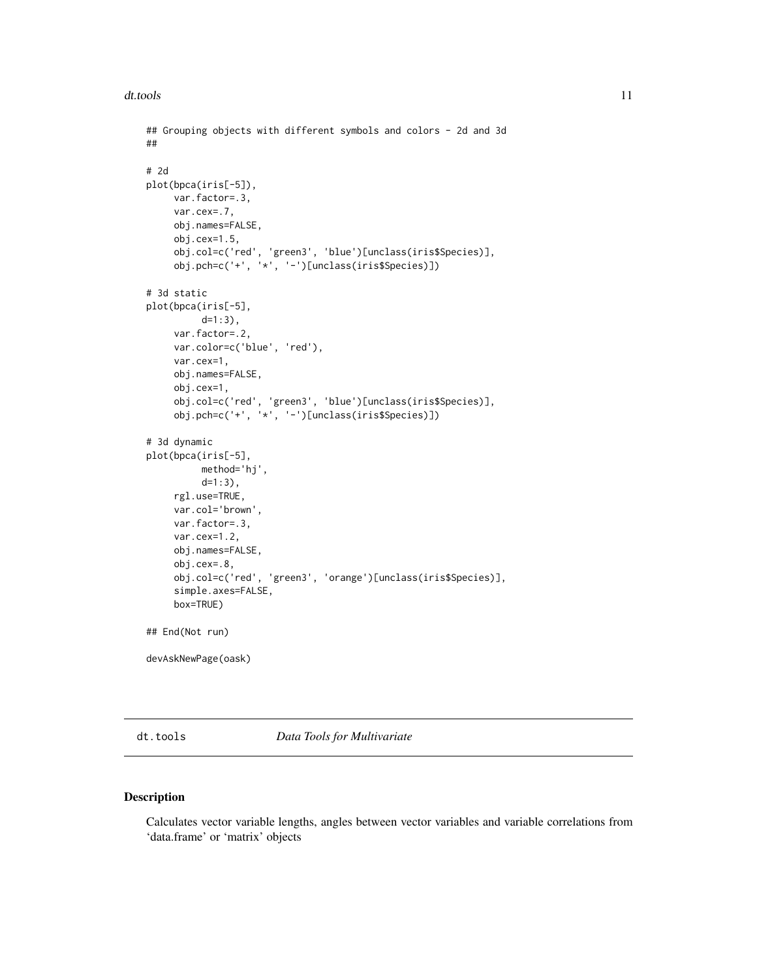#### <span id="page-10-0"></span>dt.tools 11

```
## Grouping objects with different symbols and colors - 2d and 3d
##
# 2d
plot(bpca(iris[-5]),
    var.factor=.3,
    var.cex=.7,
    obj.names=FALSE,
    obj.cex=1.5,
     obj.col=c('red', 'green3', 'blue')[unclass(iris$Species)],
     obj.pch=c('+', '*', '-')[unclass(iris$Species)])
# 3d static
plot(bpca(iris[-5],
          d=1:3),
    var.factor=.2,
     var.color=c('blue', 'red'),
     var.cex=1,
    obj.names=FALSE,
     obj.cex=1,
     obj.col=c('red', 'green3', 'blue')[unclass(iris$Species)],
     obj.pch=c('+', '*', '-')[unclass(iris$Species)])
# 3d dynamic
plot(bpca(iris[-5],
         method='hj',
          d=1:3),
    rgl.use=TRUE,
     var.col='brown',
    var.factor=.3,
    var.cex=1.2,
    obj.names=FALSE,
    obj.cex=.8,
     obj.col=c('red', 'green3', 'orange')[unclass(iris$Species)],
     simple.axes=FALSE,
     box=TRUE)
## End(Not run)
devAskNewPage(oask)
```
dt.tools *Data Tools for Multivariate*

# Description

Calculates vector variable lengths, angles between vector variables and variable correlations from 'data.frame' or 'matrix' objects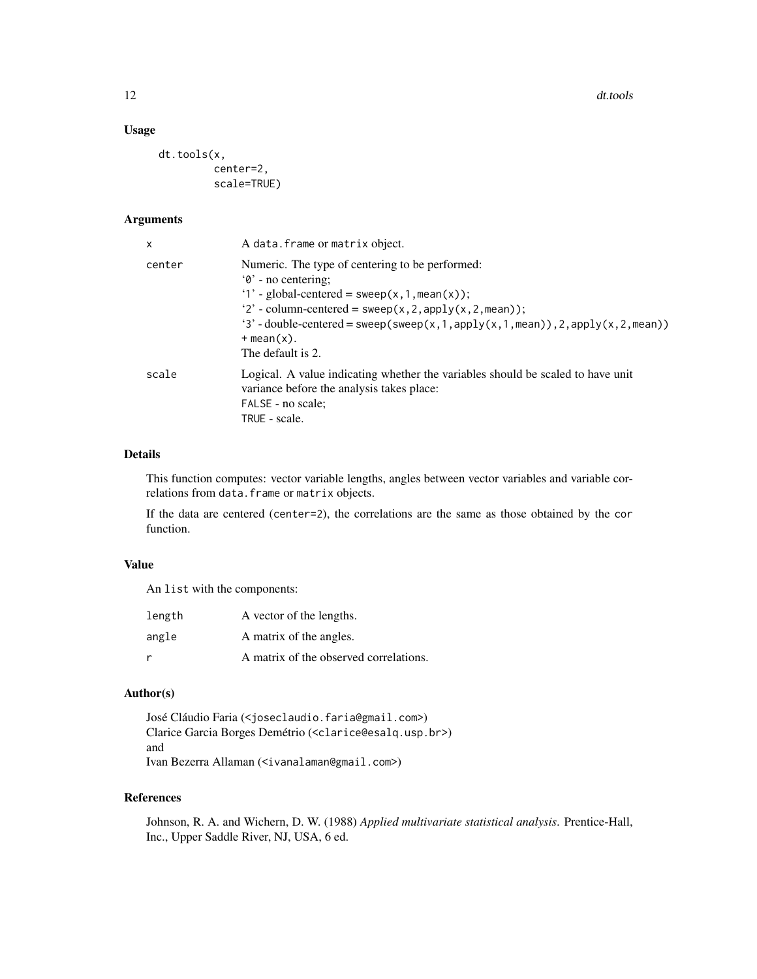12 dt.tools

# Usage

dt.tools(x, center=2, scale=TRUE)

#### Arguments

| x      | A data. frame or matrix object.                                                                                                                                                                                                                                                                                           |
|--------|---------------------------------------------------------------------------------------------------------------------------------------------------------------------------------------------------------------------------------------------------------------------------------------------------------------------------|
| center | Numeric. The type of centering to be performed:<br>$\theta$ - no centering;<br>'1' - global-centered = $sweep(x, 1, mean(x));$<br>'2' - column-centered = sweep(x, 2, apply(x, 2, mean));<br>'3' - double-centered = sweep(sweep(x, 1, apply(x, 1, mean)), 2, apply(x, 2, mean))<br>$+$ mean $(x)$ .<br>The default is 2. |
| scale  | Logical. A value indicating whether the variables should be scaled to have unit<br>variance before the analysis takes place:<br>FALSE - no scale;<br>TRUE - scale.                                                                                                                                                        |

# Details

This function computes: vector variable lengths, angles between vector variables and variable correlations from data.frame or matrix objects.

If the data are centered (center=2), the correlations are the same as those obtained by the cor function.

# Value

An list with the components:

| length | A vector of the lengths.               |
|--------|----------------------------------------|
| angle  | A matrix of the angles.                |
| r      | A matrix of the observed correlations. |

# Author(s)

José Cláudio Faria (<joseclaudio.faria@gmail.com>) Clarice Garcia Borges Demétrio (<clarice@esalq.usp.br>) and Ivan Bezerra Allaman (<ivanalaman@gmail.com>)

# References

Johnson, R. A. and Wichern, D. W. (1988) *Applied multivariate statistical analysis*. Prentice-Hall, Inc., Upper Saddle River, NJ, USA, 6 ed.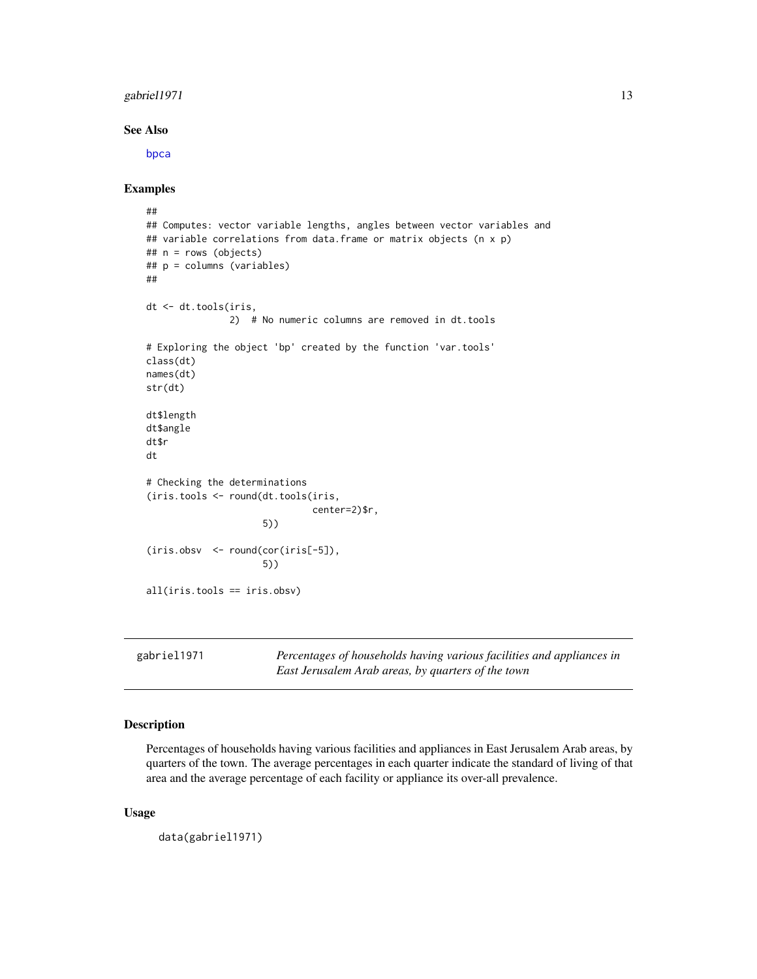### <span id="page-12-0"></span> $gabriel1971$  13

#### See Also

[bpca](#page-5-1)

#### Examples

```
##
## Computes: vector variable lengths, angles between vector variables and
## variable correlations from data.frame or matrix objects (n x p)
## n = rows (objects)
## p = columns (variables)
##
dt <- dt.tools(iris,
               2) # No numeric columns are removed in dt.tools
# Exploring the object 'bp' created by the function 'var.tools'
class(dt)
names(dt)
str(dt)
dt$length
dt$angle
dt$r
dt
# Checking the determinations
(iris.tools <- round(dt.tools(iris,
                              center=2)$r,
                     5))
(iris.obsv <- round(cor(iris[-5]),
                     5))
all(iris.tools == iris.obsv)
```
gabriel1971 *Percentages of households having various facilities and appliances in East Jerusalem Arab areas, by quarters of the town*

# Description

Percentages of households having various facilities and appliances in East Jerusalem Arab areas, by quarters of the town. The average percentages in each quarter indicate the standard of living of that area and the average percentage of each facility or appliance its over-all prevalence.

#### Usage

```
data(gabriel1971)
```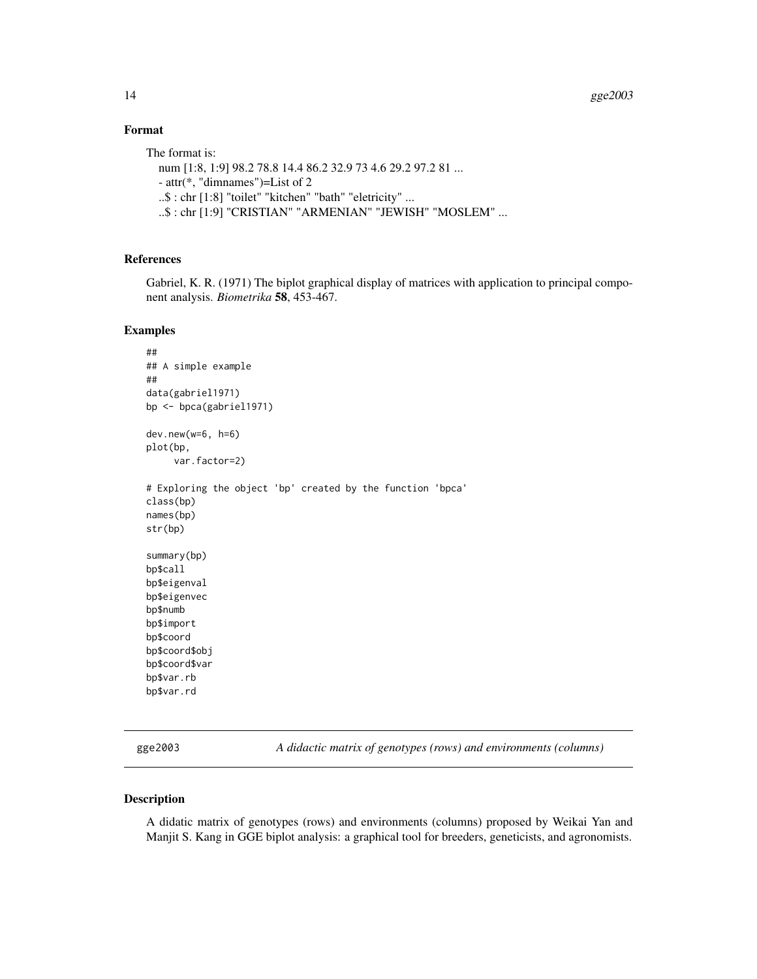# Format

```
The format is:
  num [1:8, 1:9] 98.2 78.8 14.4 86.2 32.9 73 4.6 29.2 97.2 81 ...
  - attr(*, "dimnames")=List of 2
  ..$ : chr [1:8] "toilet" "kitchen" "bath" "eletricity" ...
  ..$ : chr [1:9] "CRISTIAN" "ARMENIAN" "JEWISH" "MOSLEM" ...
```
# References

Gabriel, K. R. (1971) The biplot graphical display of matrices with application to principal component analysis. *Biometrika* 58, 453-467.

#### Examples

```
##
## A simple example
##
data(gabriel1971)
bp <- bpca(gabriel1971)
dev.new(w=6, h=6)
plot(bp,
     var.factor=2)
# Exploring the object 'bp' created by the function 'bpca'
class(bp)
names(bp)
str(bp)
summary(bp)
bp$call
bp$eigenval
bp$eigenvec
bp$numb
bp$import
bp$coord
bp$coord$obj
bp$coord$var
bp$var.rb
bp$var.rd
```
gge2003 *A didactic matrix of genotypes (rows) and environments (columns)*

#### Description

A didatic matrix of genotypes (rows) and environments (columns) proposed by Weikai Yan and Manjit S. Kang in GGE biplot analysis: a graphical tool for breeders, geneticists, and agronomists.

<span id="page-13-0"></span>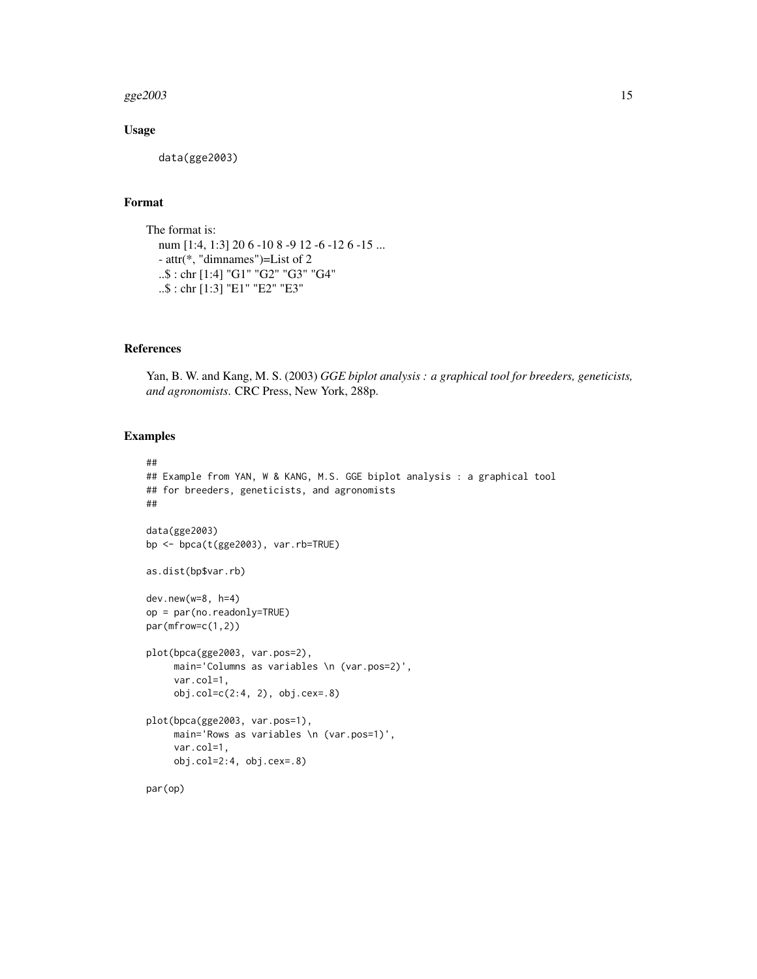#### $gge2003$  15

# Usage

data(gge2003)

# Format

The format is: num [1:4, 1:3] 20 6 -10 8 -9 12 -6 -12 6 -15 ... - attr(\*, "dimnames")=List of 2 ..\$ : chr [1:4] "G1" "G2" "G3" "G4" ..\$ : chr [1:3] "E1" "E2" "E3"

#### References

Yan, B. W. and Kang, M. S. (2003) *GGE biplot analysis : a graphical tool for breeders, geneticists, and agronomists*. CRC Press, New York, 288p.

```
##
## Example from YAN, W & KANG, M.S. GGE biplot analysis : a graphical tool
## for breeders, geneticists, and agronomists
##
data(gge2003)
bp <- bpca(t(gge2003), var.rb=TRUE)
as.dist(bp$var.rb)
dev.new(w=8, h=4)
op = par(no.readonly=TRUE)
par(mfrow=c(1,2))
plot(bpca(gge2003, var.pos=2),
     main='Columns as variables \n (var.pos=2)',
     var.col=1,
     obj.col=c(2:4, 2), obj.cex=.8)
plot(bpca(gge2003, var.pos=1),
    main='Rows as variables \n (var.pos=1)',
     var.col=1,
    obj.col=2:4, obj.cex=.8)
par(op)
```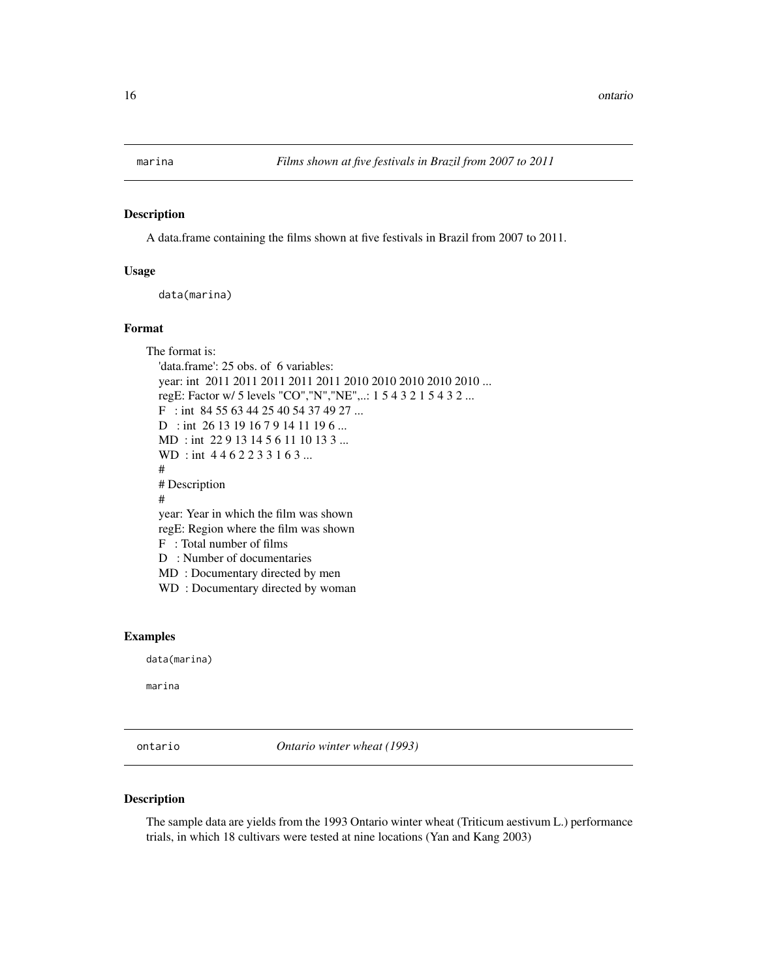<span id="page-15-0"></span>

#### Description

A data.frame containing the films shown at five festivals in Brazil from 2007 to 2011.

# Usage

data(marina)

#### Format

The format is: 'data.frame': 25 obs. of 6 variables: year: int 2011 2011 2011 2011 2011 2010 2010 2010 2010 2010 ... regE: Factor w/ 5 levels "CO","N","NE",..: 1 5 4 3 2 1 5 4 3 2 ... F : int 84 55 63 44 25 40 54 37 49 27 ... D : int 26 13 19 16 7 9 14 11 19 6 ... MD : int 22 9 13 14 5 6 11 10 13 3 ... WD: int 4462233163... # # Description # year: Year in which the film was shown regE: Region where the film was shown F : Total number of films D : Number of documentaries MD : Documentary directed by men WD : Documentary directed by woman

# Examples

data(marina)

marina

ontario *Ontario winter wheat (1993)*

#### Description

The sample data are yields from the 1993 Ontario winter wheat (Triticum aestivum L.) performance trials, in which 18 cultivars were tested at nine locations (Yan and Kang 2003)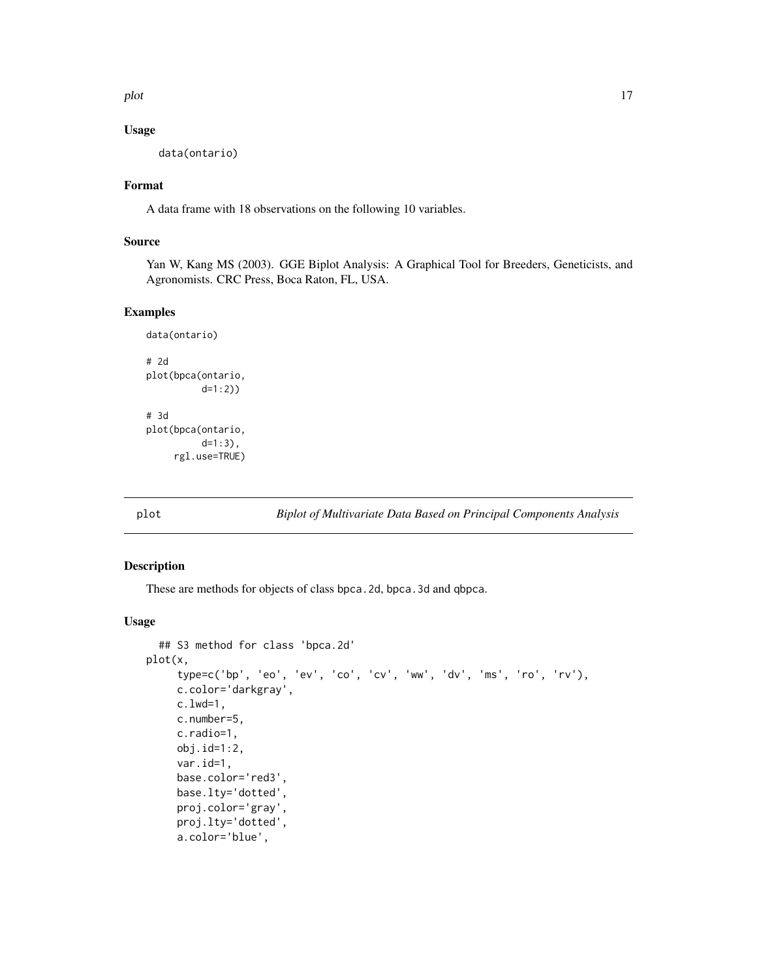<span id="page-16-0"></span>plot the state of the state of the state of the state of the state of the state of the state of the state of the state of the state of the state of the state of the state of the state of the state of the state of the state

#### Usage

data(ontario)

### Format

A data frame with 18 observations on the following 10 variables.

# Source

Yan W, Kang MS (2003). GGE Biplot Analysis: A Graphical Tool for Breeders, Geneticists, and Agronomists. CRC Press, Boca Raton, FL, USA.

# Examples

```
data(ontario)
# 2d
plot(bpca(ontario,
          d=1:2))
# 3d
plot(bpca(ontario,
          d=1:3),
     rgl.use=TRUE)
```
plot *Biplot of Multivariate Data Based on Principal Components Analysis*

#### Description

These are methods for objects of class bpca.2d, bpca.3d and qbpca.

#### Usage

```
## S3 method for class 'bpca.2d'
plot(x,
     type=c('bp', 'eo', 'ev', 'co', 'cv', 'ww', 'dv', 'ms', 'ro', 'rv'),
     c.color='darkgray',
     c.lwd=1,
     c.number=5,
     c.radio=1,
     obj.id=1:2,
     var.id=1,
     base.color='red3',
     base.lty='dotted',
     proj.color='gray',
     proj.lty='dotted',
     a.color='blue',
```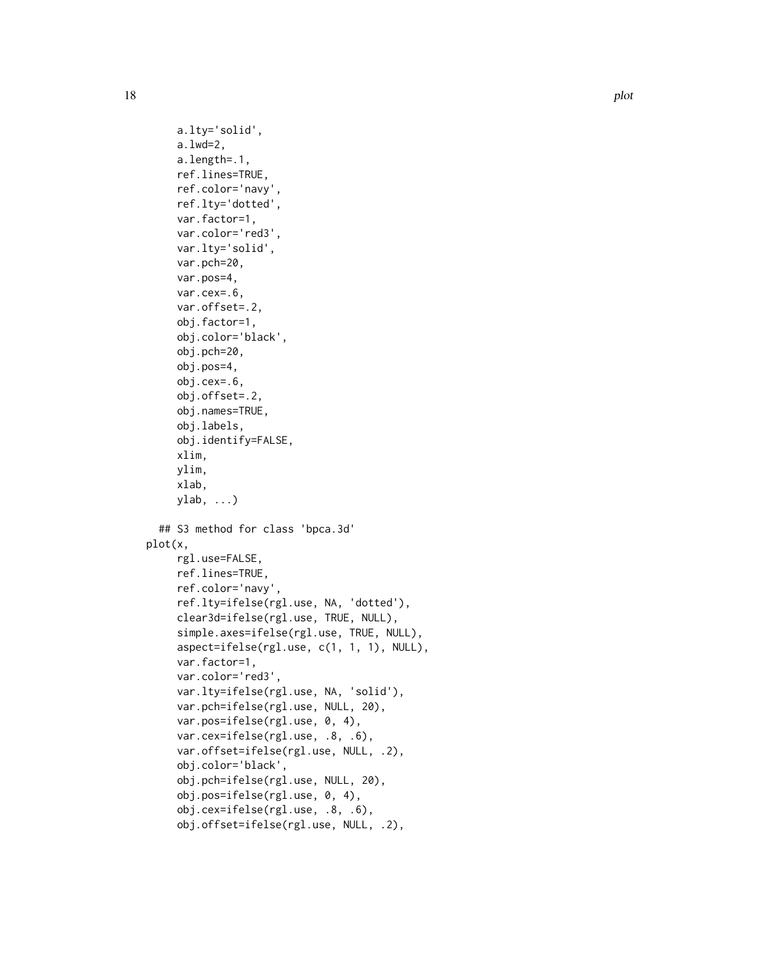```
a.lty='solid',
     a.lwd=2,
     a.length=.1,
     ref.lines=TRUE,
     ref.color='navy',
     ref.lty='dotted',
     var.factor=1,
     var.color='red3',
     var.lty='solid',
     var.pch=20,
     var.pos=4,
     var.cex=.6,
     var.offset=.2,
     obj.factor=1,
     obj.color='black',
     obj.pch=20,
     obj.pos=4,
     obj.cex=.6,
     obj.offset=.2,
     obj.names=TRUE,
     obj.labels,
     obj.identify=FALSE,
     xlim,
     ylim,
     xlab,
     ylab, ...)
  ## S3 method for class 'bpca.3d'
plot(x,
     rgl.use=FALSE,
     ref.lines=TRUE,
     ref.color='navy',
     ref.lty=ifelse(rgl.use, NA, 'dotted'),
     clear3d=ifelse(rgl.use, TRUE, NULL),
     simple.axes=ifelse(rgl.use, TRUE, NULL),
     aspect=ifelse(rgl.use, c(1, 1, 1), NULL),
     var.factor=1,
     var.color='red3',
     var.lty=ifelse(rgl.use, NA, 'solid'),
     var.pch=ifelse(rgl.use, NULL, 20),
     var.pos=ifelse(rgl.use, 0, 4),
     var.cex=ifelse(rgl.use, .8, .6),
     var.offset=ifelse(rgl.use, NULL, .2),
     obj.color='black',
     obj.pch=ifelse(rgl.use, NULL, 20),
     obj.pos=ifelse(rgl.use, 0, 4),
     obj.cex=ifelse(rgl.use, .8, .6),
```

```
obj.offset=ifelse(rgl.use, NULL, .2),
```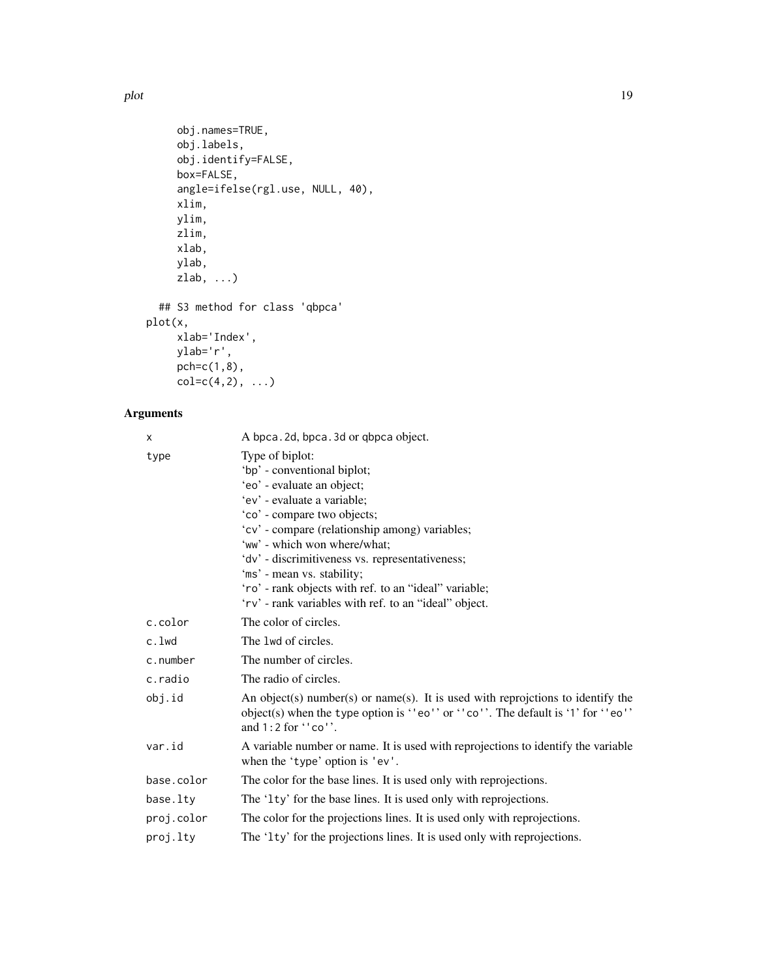```
obj.names=TRUE,
     obj.labels,
     obj.identify=FALSE,
     box=FALSE,
     angle=ifelse(rgl.use, NULL, 40),
     xlim,
     ylim,
     zlim,
     xlab,
     ylab,
     zlab, ...)
  ## S3 method for class 'qbpca'
plot(x,
     xlab='Index',
     ylab='r',
     pch=c(1,8),
```
 $col=c(4,2), ...$ 

# Arguments

| X          | A bpca. 2d, bpca. 3d or qbpca object.                                                                                                                                                                                                                                                                                                                                                                                           |
|------------|---------------------------------------------------------------------------------------------------------------------------------------------------------------------------------------------------------------------------------------------------------------------------------------------------------------------------------------------------------------------------------------------------------------------------------|
| type       | Type of biplot:<br>'bp' - conventional biplot;<br>'eo' - evaluate an object;<br>'ev' - evaluate a variable;<br>'co' - compare two objects;<br>'cv' - compare (relationship among) variables;<br>'ww' - which won where/what;<br>'dv' - discrimitiveness vs. representativeness;<br>'ms' - mean vs. stability;<br>'ro' - rank objects with ref. to an "ideal" variable;<br>'rv' - rank variables with ref. to an "ideal" object. |
| c.color    | The color of circles.                                                                                                                                                                                                                                                                                                                                                                                                           |
| c.lwd      | The 1wd of circles.                                                                                                                                                                                                                                                                                                                                                                                                             |
| c.number   | The number of circles.                                                                                                                                                                                                                                                                                                                                                                                                          |
| c.radio    | The radio of circles.                                                                                                                                                                                                                                                                                                                                                                                                           |
| obj.id     | An object(s) number(s) or name(s). It is used with reprojetions to identify the<br>object(s) when the type option is ''eo'' or ''co''. The default is '1' for ''eo''<br>and $1:2$ for $\cdot$ 'co''.                                                                                                                                                                                                                            |
| var.id     | A variable number or name. It is used with reprojections to identify the variable<br>when the 'type' option is 'ev'.                                                                                                                                                                                                                                                                                                            |
| base.color | The color for the base lines. It is used only with reprojections.                                                                                                                                                                                                                                                                                                                                                               |
| base.lty   | The '1ty' for the base lines. It is used only with reprojections.                                                                                                                                                                                                                                                                                                                                                               |
| proj.color | The color for the projections lines. It is used only with reprojections.                                                                                                                                                                                                                                                                                                                                                        |
| proj.lty   | The '1ty' for the projections lines. It is used only with reprojections.                                                                                                                                                                                                                                                                                                                                                        |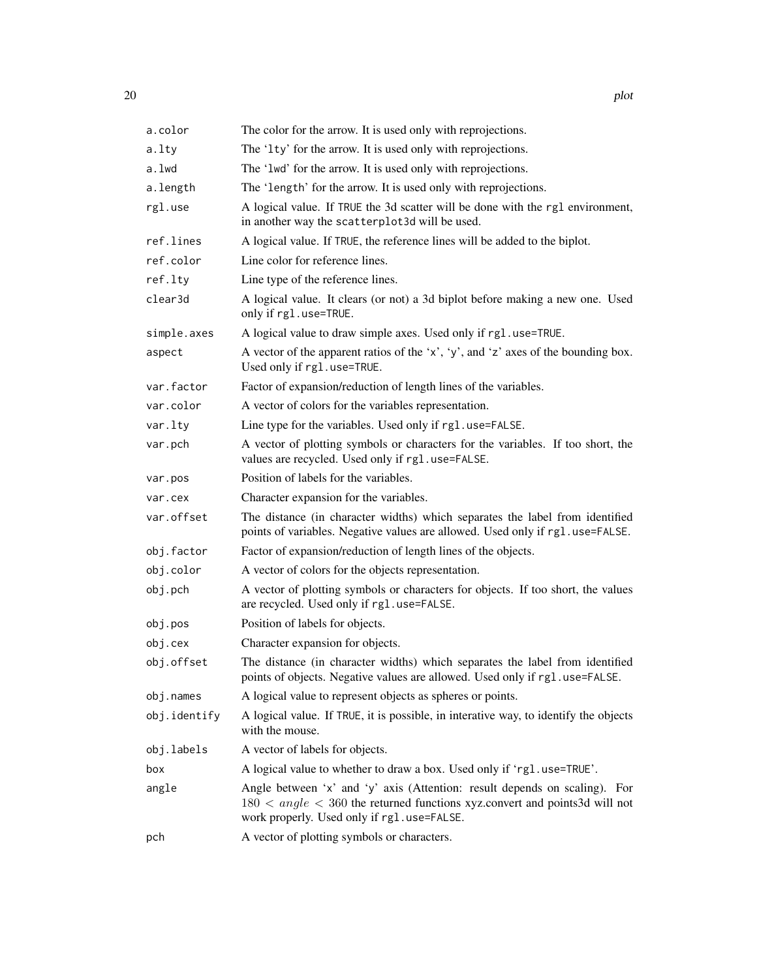| a.color      | The color for the arrow. It is used only with reprojections.                                                                                                                                             |
|--------------|----------------------------------------------------------------------------------------------------------------------------------------------------------------------------------------------------------|
| a.lty        | The '1ty' for the arrow. It is used only with reprojections.                                                                                                                                             |
| a.lwd        | The '1wd' for the arrow. It is used only with reprojections.                                                                                                                                             |
| a.length     | The 'length' for the arrow. It is used only with reprojections.                                                                                                                                          |
| rgl.use      | A logical value. If TRUE the 3d scatter will be done with the rg1 environment,<br>in another way the scatterplot3d will be used.                                                                         |
| ref.lines    | A logical value. If TRUE, the reference lines will be added to the biplot.                                                                                                                               |
| ref.color    | Line color for reference lines.                                                                                                                                                                          |
| ref.lty      | Line type of the reference lines.                                                                                                                                                                        |
| clear3d      | A logical value. It clears (or not) a 3d biplot before making a new one. Used<br>only if rgl.use=TRUE.                                                                                                   |
| simple.axes  | A logical value to draw simple axes. Used only if rg1.use=TRUE.                                                                                                                                          |
| aspect       | A vector of the apparent ratios of the 'x', 'y', and 'z' axes of the bounding box.<br>Used only if rg1.use=TRUE.                                                                                         |
| var.factor   | Factor of expansion/reduction of length lines of the variables.                                                                                                                                          |
| var.color    | A vector of colors for the variables representation.                                                                                                                                                     |
| var.lty      | Line type for the variables. Used only if rg1.use=FALSE.                                                                                                                                                 |
| var.pch      | A vector of plotting symbols or characters for the variables. If too short, the<br>values are recycled. Used only if rgl.use=FALSE.                                                                      |
| var.pos      | Position of labels for the variables.                                                                                                                                                                    |
| var.cex      | Character expansion for the variables.                                                                                                                                                                   |
| var.offset   | The distance (in character widths) which separates the label from identified<br>points of variables. Negative values are allowed. Used only if rg1.use=FALSE.                                            |
| obj.factor   | Factor of expansion/reduction of length lines of the objects.                                                                                                                                            |
| obj.color    | A vector of colors for the objects representation.                                                                                                                                                       |
| obj.pch      | A vector of plotting symbols or characters for objects. If too short, the values<br>are recycled. Used only if rgl.use=FALSE.                                                                            |
| obj.pos      | Position of labels for objects.                                                                                                                                                                          |
| obj.cex      | Character expansion for objects.                                                                                                                                                                         |
| obj.offset   | The distance (in character widths) which separates the label from identified<br>points of objects. Negative values are allowed. Used only if rg1.use=FALSE                                               |
| obj.names    | A logical value to represent objects as spheres or points.                                                                                                                                               |
| obj.identify | A logical value. If TRUE, it is possible, in interative way, to identify the objects<br>with the mouse.                                                                                                  |
| obj.labels   | A vector of labels for objects.                                                                                                                                                                          |
| box          | A logical value to whether to draw a box. Used only if 'rg1.use=TRUE'.                                                                                                                                   |
| angle        | Angle between 'x' and 'y' axis (Attention: result depends on scaling). For<br>$180 < angle < 360$ the returned functions xyz.convert and points3d will not<br>work properly. Used only if rg1.use=FALSE. |
| pch          | A vector of plotting symbols or characters.                                                                                                                                                              |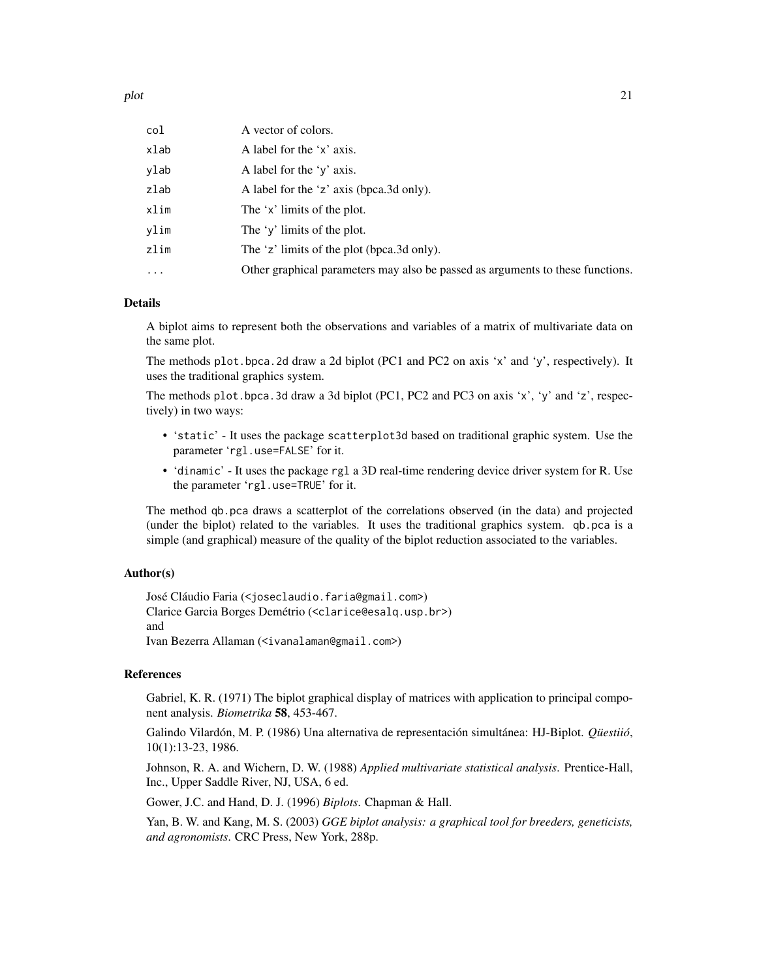| col      | A vector of colors.                                                            |
|----------|--------------------------------------------------------------------------------|
| xlab     | A label for the 'x' axis.                                                      |
| vlab     | A label for the 'y' axis.                                                      |
| zlab     | A label for the 'z' axis (bpca.3d only).                                       |
| xlim     | The 'x' limits of the plot.                                                    |
| vlim     | The 'y' limits of the plot.                                                    |
| zlim     | The 'z' limits of the plot (bpca.3d only).                                     |
| $\cdots$ | Other graphical parameters may also be passed as arguments to these functions. |
|          |                                                                                |

#### Details

A biplot aims to represent both the observations and variables of a matrix of multivariate data on the same plot.

The methods plot.bpca.2d draw a 2d biplot (PC1 and PC2 on axis 'x' and 'y', respectively). It uses the traditional graphics system.

The methods plot.bpca. 3d draw a 3d biplot (PC1, PC2 and PC3 on axis 'x', 'y' and 'z', respectively) in two ways:

- 'static' It uses the package scatterplot3d based on traditional graphic system. Use the parameter 'rgl.use=FALSE' for it.
- 'dinamic' It uses the package rgl a 3D real-time rendering device driver system for R. Use the parameter 'rgl.use=TRUE' for it.

The method qb.pca draws a scatterplot of the correlations observed (in the data) and projected (under the biplot) related to the variables. It uses the traditional graphics system. qb.pca is a simple (and graphical) measure of the quality of the biplot reduction associated to the variables.

#### Author(s)

José Cláudio Faria (<joseclaudio.faria@gmail.com>) Clarice Garcia Borges Demétrio (<clarice@esalq.usp.br>) and Ivan Bezerra Allaman (<ivanalaman@gmail.com>)

#### References

Gabriel, K. R. (1971) The biplot graphical display of matrices with application to principal component analysis. *Biometrika* 58, 453-467.

Galindo Vilardón, M. P. (1986) Una alternativa de representación simultánea: HJ-Biplot. *Qüestiió*, 10(1):13-23, 1986.

Johnson, R. A. and Wichern, D. W. (1988) *Applied multivariate statistical analysis*. Prentice-Hall, Inc., Upper Saddle River, NJ, USA, 6 ed.

Gower, J.C. and Hand, D. J. (1996) *Biplots*. Chapman & Hall.

Yan, B. W. and Kang, M. S. (2003) *GGE biplot analysis: a graphical tool for breeders, geneticists, and agronomists*. CRC Press, New York, 288p.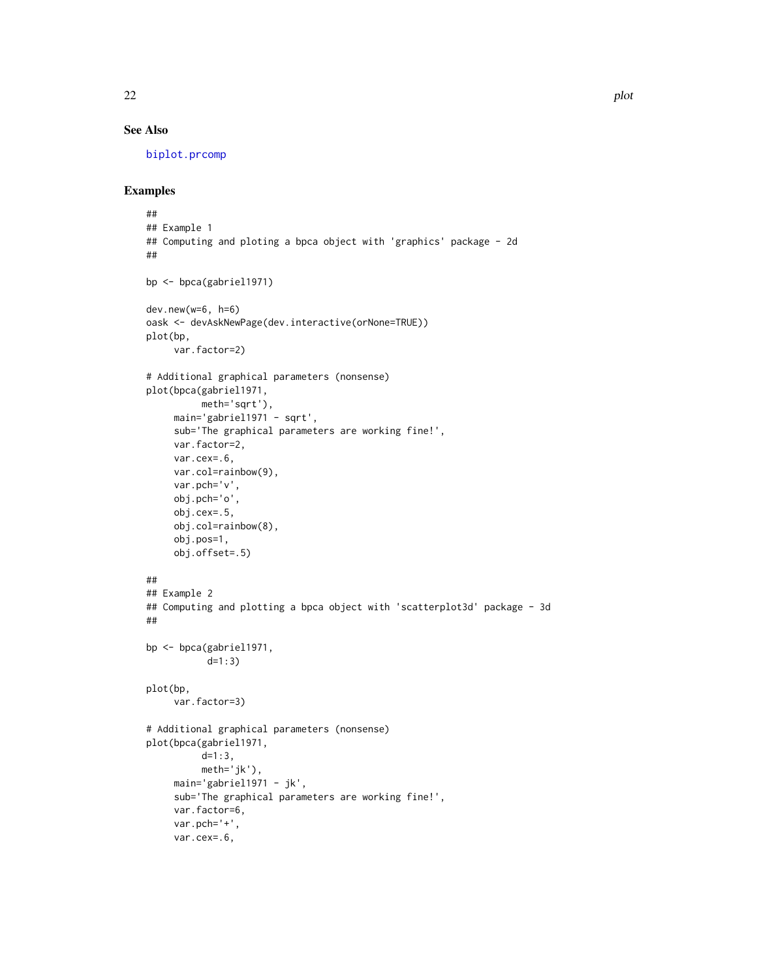# <span id="page-21-0"></span>See Also

[biplot.prcomp](#page-0-0)

```
##
## Example 1
## Computing and ploting a bpca object with 'graphics' package - 2d
##
bp <- bpca(gabriel1971)
dev.new(w=6, h=6)
oask <- devAskNewPage(dev.interactive(orNone=TRUE))
plot(bp,
     var.factor=2)
# Additional graphical parameters (nonsense)
plot(bpca(gabriel1971,
         meth='sqrt'),
    main='gabriel1971 - sqrt',
     sub='The graphical parameters are working fine!',
    var.factor=2,
    var.cex=.6,
    var.col=rainbow(9),
    var.pch='v',
    obj.pch='o',
    obj.cex=.5,
    obj.col=rainbow(8),
    obj.pos=1,
    obj.offset=.5)
##
## Example 2
## Computing and plotting a bpca object with 'scatterplot3d' package - 3d
##
bp <- bpca(gabriel1971,
           d=1:3)
plot(bp,
     var.factor=3)
# Additional graphical parameters (nonsense)
plot(bpca(gabriel1971,
          d=1:3,
          meth='jk'),
     main='gabriel1971 - jk',
     sub='The graphical parameters are working fine!',
    var.factor=6,
    var.pch='+',
    var.cex=.6,
```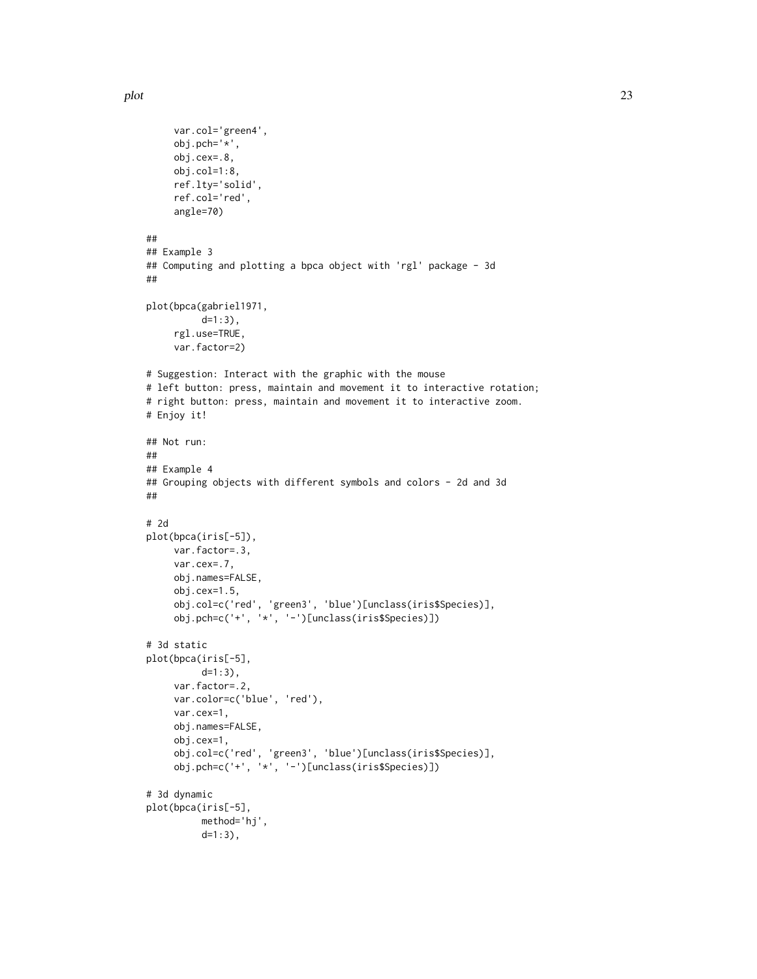```
var.col='green4',
     obj.pch='*',
     obj.cex=.8,
    obj.col=1:8,
     ref.lty='solid',
     ref.col='red',
     angle=70)
##
## Example 3
## Computing and plotting a bpca object with 'rgl' package - 3d
##
plot(bpca(gabriel1971,
          d=1:3),
     rgl.use=TRUE,
     var.factor=2)
# Suggestion: Interact with the graphic with the mouse
# left button: press, maintain and movement it to interactive rotation;
# right button: press, maintain and movement it to interactive zoom.
# Enjoy it!
## Not run:
##
## Example 4
## Grouping objects with different symbols and colors - 2d and 3d
##
# 2d
plot(bpca(iris[-5]),
     var.factor=.3,
     var.cex=.7,
    obj.names=FALSE,
     obj.cex=1.5,
     obj.col=c('red', 'green3', 'blue')[unclass(iris$Species)],
     obj.pch=c('+', '*', '-')[unclass(iris$Species)])
# 3d static
plot(bpca(iris[-5],
          d=1:3),
     var.factor=.2,
     var.color=c('blue', 'red'),
     var.cex=1,
     obj.names=FALSE,
     obj.cex=1,
     obj.col=c('red', 'green3', 'blue')[unclass(iris$Species)],
     obj.pch=c('+', '*', '-')[unclass(iris$Species)])
# 3d dynamic
plot(bpca(iris[-5],
          method='hj',
          d=1:3),
```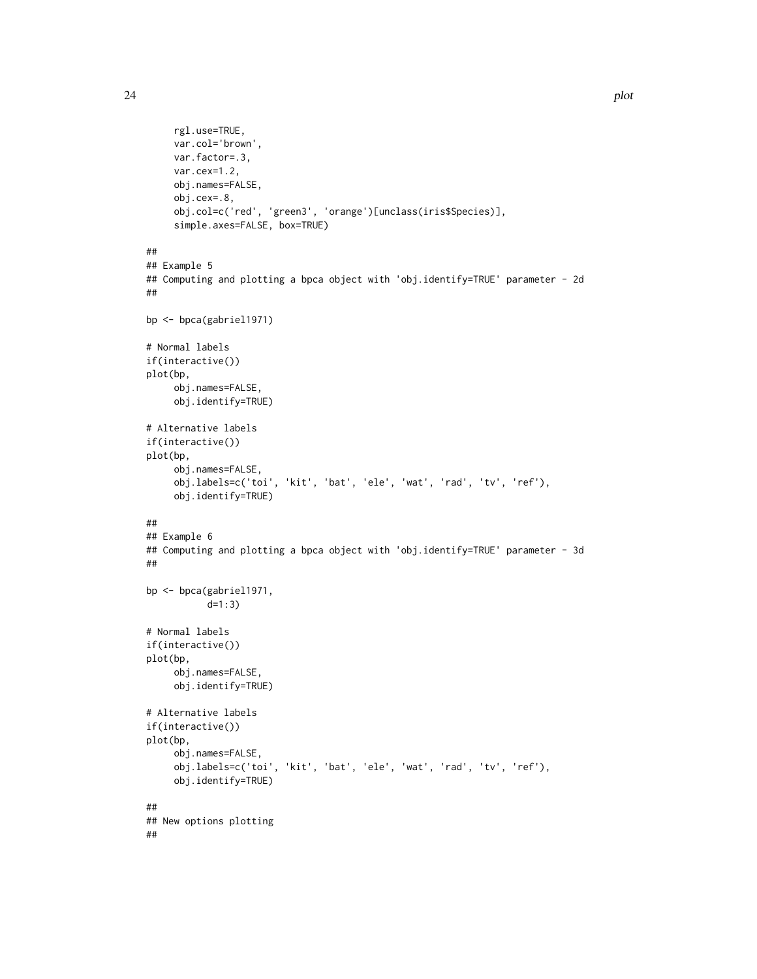```
rgl.use=TRUE,
     var.col='brown',
     var.factor=.3,
    var.cex=1.2,
     obj.names=FALSE,
     obj.cex=.8,
     obj.col=c('red', 'green3', 'orange')[unclass(iris$Species)],
     simple.axes=FALSE, box=TRUE)
##
## Example 5
## Computing and plotting a bpca object with 'obj.identify=TRUE' parameter - 2d
##
bp <- bpca(gabriel1971)
# Normal labels
if(interactive())
plot(bp,
     obj.names=FALSE,
     obj.identify=TRUE)
# Alternative labels
if(interactive())
plot(bp,
     obj.names=FALSE,
     obj.labels=c('toi', 'kit', 'bat', 'ele', 'wat', 'rad', 'tv', 'ref'),
     obj.identify=TRUE)
##
## Example 6
## Computing and plotting a bpca object with 'obj.identify=TRUE' parameter - 3d
##
bp <- bpca(gabriel1971,
           d=1:3)
# Normal labels
if(interactive())
plot(bp,
     obj.names=FALSE,
     obj.identify=TRUE)
# Alternative labels
if(interactive())
plot(bp,
     obj.names=FALSE,
     obj.labels=c('toi', 'kit', 'bat', 'ele', 'wat', 'rad', 'tv', 'ref'),
     obj.identify=TRUE)
##
## New options plotting
##
```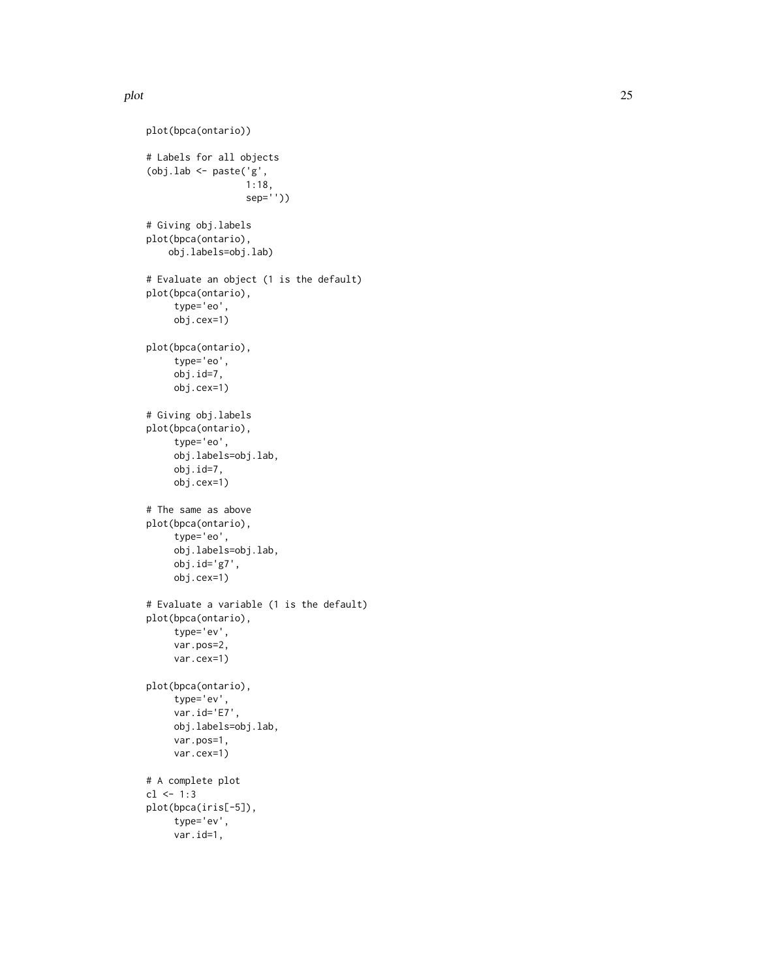plot the contract of the contract of the contract of the contract of the contract of the contract of the contract of the contract of the contract of the contract of the contract of the contract of the contract of the contr

```
plot(bpca(ontario))
# Labels for all objects
(obj.lab \leftarrow paste('g',1:18,
                  sep=''))
# Giving obj.labels
plot(bpca(ontario),
    obj.labels=obj.lab)
# Evaluate an object (1 is the default)
plot(bpca(ontario),
     type='eo',
     obj.cex=1)
plot(bpca(ontario),
     type='eo',
     obj.id=7,
     obj.cex=1)
# Giving obj.labels
plot(bpca(ontario),
     type='eo',
     obj.labels=obj.lab,
     obj.id=7,
     obj.cex=1)
# The same as above
plot(bpca(ontario),
     type='eo',
     obj.labels=obj.lab,
     obj.id='g7',
     obj.cex=1)
# Evaluate a variable (1 is the default)
plot(bpca(ontario),
     type='ev',
     var.pos=2,
     var.cex=1)
plot(bpca(ontario),
     type='ev',
     var.id='E7',
     obj.labels=obj.lab,
     var.pos=1,
     var.cex=1)
# A complete plot
cl < -1:3plot(bpca(iris[-5]),
     type='ev',
     var.id=1,
```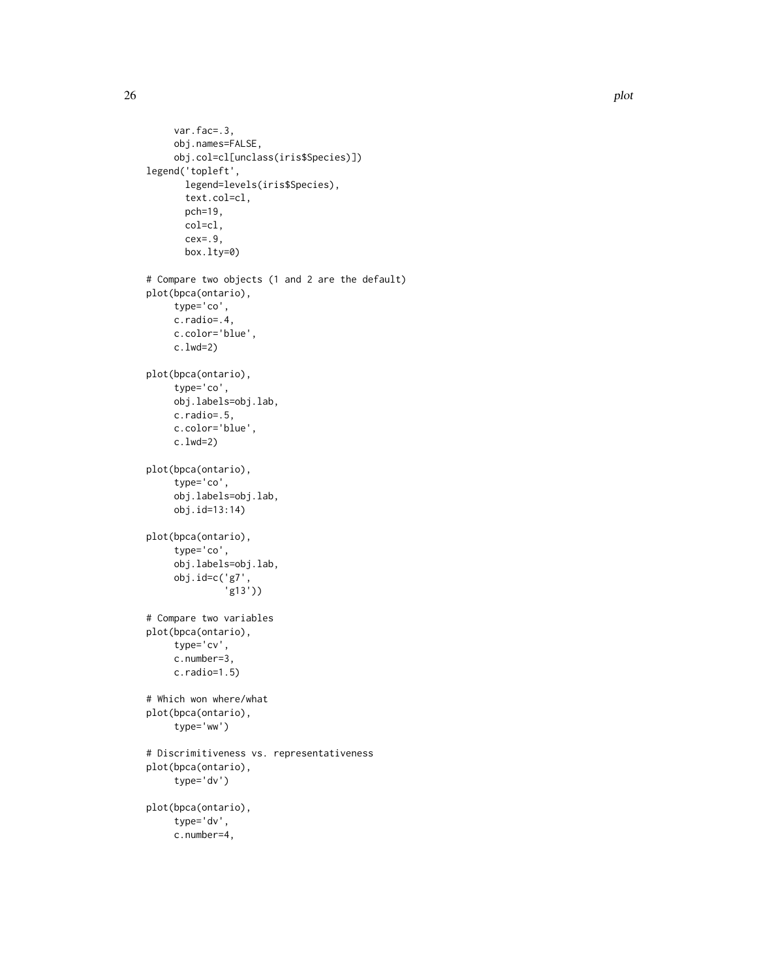```
var.fac=.3,
     obj.names=FALSE,
     obj.col=cl[unclass(iris$Species)])
legend('topleft',
      legend=levels(iris$Species),
       text.col=cl,
       pch=19,
       col=cl,
       cex=.9,
       box.lty=0)
# Compare two objects (1 and 2 are the default)
plot(bpca(ontario),
     type='co',
     c.radio=.4,
     c.color='blue',
     c.lwd=2)
plot(bpca(ontario),
     type='co',
     obj.labels=obj.lab,
    c.radio=.5,
    c.color='blue',
     c.lwd=2)
plot(bpca(ontario),
     type='co',
     obj.labels=obj.lab,
     obj.id=13:14)
plot(bpca(ontario),
     type='co',
     obj.labels=obj.lab,
     obj.id=c('g7',
              'g13'))
# Compare two variables
plot(bpca(ontario),
     type='cv',
     c.number=3,
     c.radio=1.5)
# Which won where/what
plot(bpca(ontario),
     type='ww')
# Discrimitiveness vs. representativeness
plot(bpca(ontario),
     type='dv')
plot(bpca(ontario),
     type='dv',
     c.number=4,
```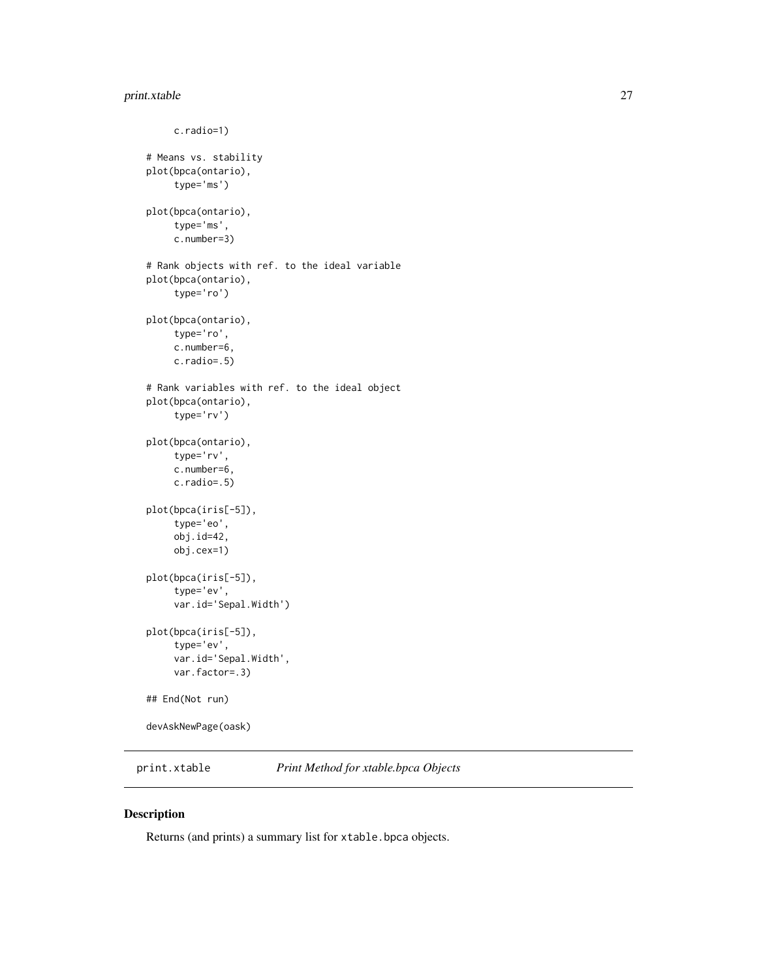# <span id="page-26-0"></span>print.xtable 27

```
c.radio=1)
# Means vs. stability
plot(bpca(ontario),
     type='ms')
plot(bpca(ontario),
     type='ms',
     c.number=3)
# Rank objects with ref. to the ideal variable
plot(bpca(ontario),
     type='ro')
plot(bpca(ontario),
     type='ro',
     c.number=6,
     c.radio=.5)
# Rank variables with ref. to the ideal object
plot(bpca(ontario),
     type='rv')
plot(bpca(ontario),
     type='rv',
     c.number=6,
     c.radio=.5)
plot(bpca(iris[-5]),
     type='eo',
     obj.id=42,
     obj.cex=1)
plot(bpca(iris[-5]),
     type='ev',
     var.id='Sepal.Width')
plot(bpca(iris[-5]),
     type='ev',
     var.id='Sepal.Width',
     var.factor=.3)
## End(Not run)
devAskNewPage(oask)
```
print.xtable *Print Method for xtable.bpca Objects*

#### Description

Returns (and prints) a summary list for xtable.bpca objects.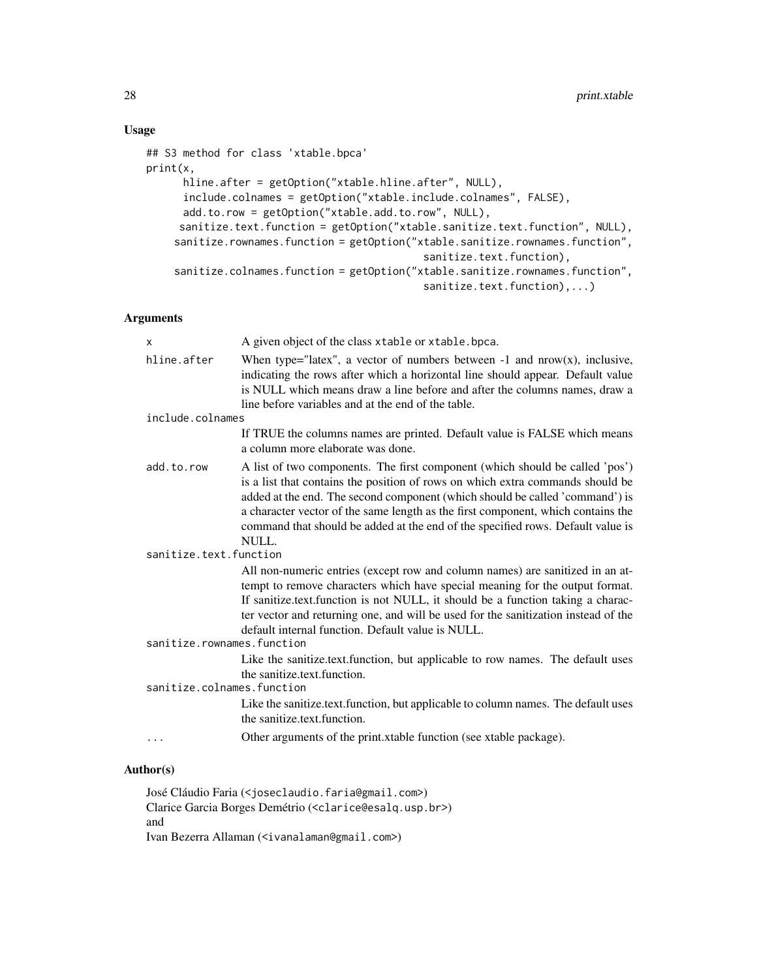# Usage

```
## S3 method for class 'xtable.bpca'
print(x,
      hline.after = getOption("xtable.hline.after", NULL),
      include.colnames = getOption("xtable.include.colnames", FALSE),
      add.to.row = getOption("xtable.add.to.row", NULL),
     sanitize.text.function = getOption("xtable.sanitize.text.function", NULL),
    sanitize.rownames.function = getOption("xtable.sanitize.rownames.function",
                                             sanitize.text.function),
    sanitize.colnames.function = getOption("xtable.sanitize.rownames.function",
                                             sanitize.text.function),...)
```
# Arguments

| $\mathsf{x}$               | A given object of the class xtable or xtable. bpca.                                                                                                                                                                                                                                                                                                                                                                            |
|----------------------------|--------------------------------------------------------------------------------------------------------------------------------------------------------------------------------------------------------------------------------------------------------------------------------------------------------------------------------------------------------------------------------------------------------------------------------|
| hline.after                | When type="latex", a vector of numbers between $-1$ and nrow(x), inclusive,<br>indicating the rows after which a horizontal line should appear. Default value<br>is NULL which means draw a line before and after the columns names, draw a<br>line before variables and at the end of the table.                                                                                                                              |
| include.colnames           |                                                                                                                                                                                                                                                                                                                                                                                                                                |
|                            | If TRUE the columns names are printed. Default value is FALSE which means<br>a column more elaborate was done.                                                                                                                                                                                                                                                                                                                 |
| add.to.row                 | A list of two components. The first component (which should be called 'pos')<br>is a list that contains the position of rows on which extra commands should be<br>added at the end. The second component (which should be called 'command') is<br>a character vector of the same length as the first component, which contains the<br>command that should be added at the end of the specified rows. Default value is<br>NULL. |
| sanitize.text.function     |                                                                                                                                                                                                                                                                                                                                                                                                                                |
|                            | All non-numeric entries (except row and column names) are sanitized in an at-<br>tempt to remove characters which have special meaning for the output format.<br>If sanitize text function is not NULL, it should be a function taking a charac-<br>ter vector and returning one, and will be used for the sanitization instead of the<br>default internal function. Default value is NULL.                                    |
| sanitize.rownames.function |                                                                                                                                                                                                                                                                                                                                                                                                                                |
|                            | Like the sanitize.text.function, but applicable to row names. The default uses<br>the sanitize.text.function.                                                                                                                                                                                                                                                                                                                  |
| sanitize.colnames.function |                                                                                                                                                                                                                                                                                                                                                                                                                                |
|                            | Like the sanitize.text.function, but applicable to column names. The default uses<br>the sanitize text function.                                                                                                                                                                                                                                                                                                               |
|                            | Other arguments of the print.xtable function (see xtable package).                                                                                                                                                                                                                                                                                                                                                             |

#### Author(s)

José Cláudio Faria (<joseclaudio.faria@gmail.com>) Clarice Garcia Borges Demétrio (<clarice@esalq.usp.br>) and Ivan Bezerra Allaman (<ivanalaman@gmail.com>)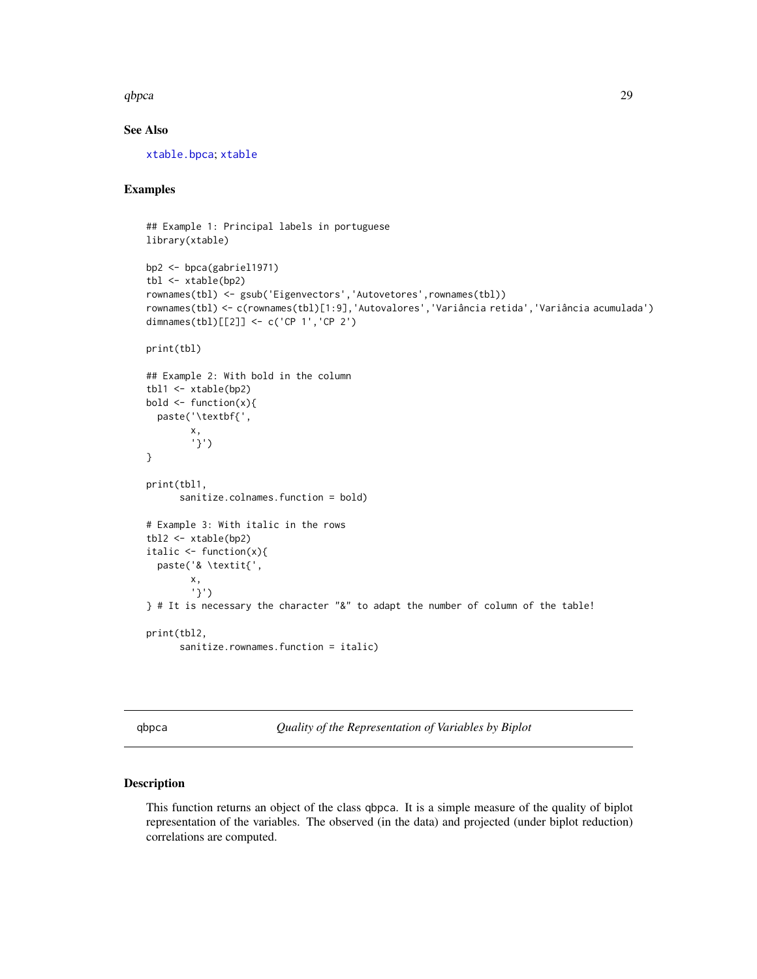#### <span id="page-28-0"></span>qbpca 29

### See Also

[xtable.bpca](#page-37-1); [xtable](#page-0-0)

# Examples

```
## Example 1: Principal labels in portuguese
library(xtable)
bp2 <- bpca(gabriel1971)
tbl <- xtable(bp2)
rownames(tbl) <- gsub('Eigenvectors','Autovetores',rownames(tbl))
rownames(tbl) <- c(rownames(tbl)[1:9],'Autovalores','Variância retida','Variância acumulada')
dimnames(tbl)[[2]] <- c('CP 1','CP 2')
print(tbl)
## Example 2: With bold in the column
tbl1 <- xtable(bp2)
bold \leftarrow function(x){
  paste('\textbf{',
        x,
        '}')
}
print(tbl1,
      sanitize.colnames.function = bold)
# Example 3: With italic in the rows
tbl2 <- xtable(bp2)
italic <- function(x){
  paste('& \textit{',
        x,
        '}')
} # It is necessary the character "&" to adapt the number of column of the table!
print(tbl2,
      sanitize.rownames.function = italic)
```
qbpca *Quality of the Representation of Variables by Biplot*

#### Description

This function returns an object of the class qbpca. It is a simple measure of the quality of biplot representation of the variables. The observed (in the data) and projected (under biplot reduction) correlations are computed.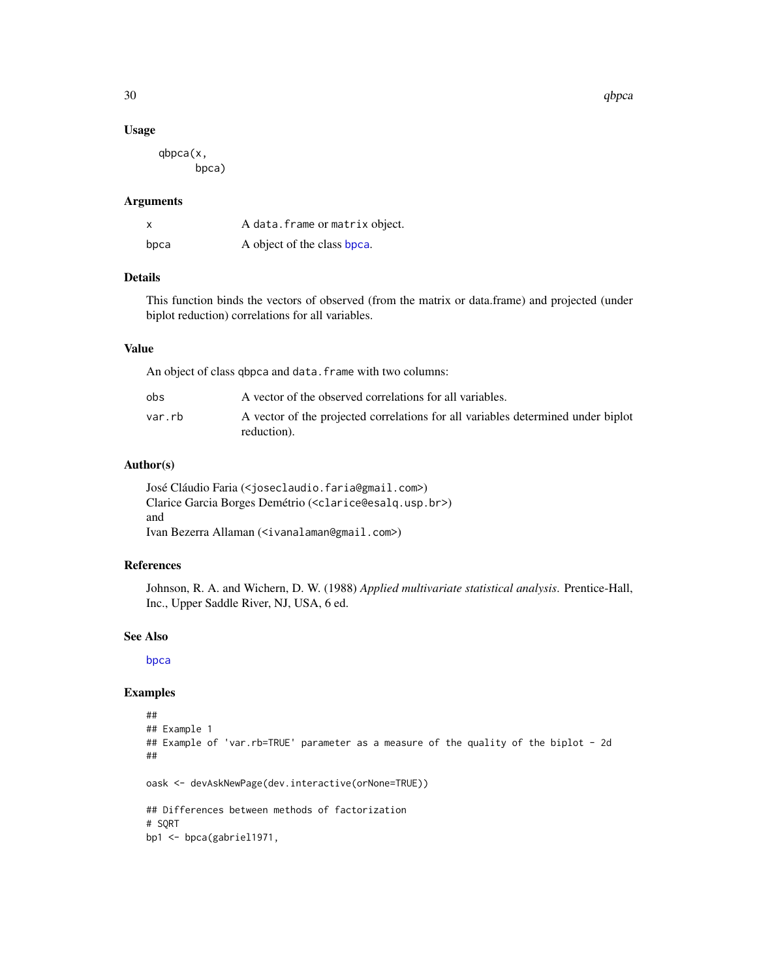<span id="page-29-0"></span>30 and the state of the state of the state of the state of the state of the state of the state of the state of the state of the state of the state of the state of the state of the state of the state of the state of the sta

#### Usage

qbpca(x, bpca)

#### Arguments

| X    | A data. frame or matrix object. |
|------|---------------------------------|
| bpca | A object of the class bpca.     |

# Details

This function binds the vectors of observed (from the matrix or data.frame) and projected (under biplot reduction) correlations for all variables.

### Value

An object of class qbpca and data. frame with two columns:

| obs    | A vector of the observed correlations for all variables.                                        |
|--------|-------------------------------------------------------------------------------------------------|
| var.rb | A vector of the projected correlations for all variables determined under biplot<br>reduction). |

# Author(s)

José Cláudio Faria (<joseclaudio.faria@gmail.com>) Clarice Garcia Borges Demétrio (<clarice@esalq.usp.br>) and Ivan Bezerra Allaman (<ivanalaman@gmail.com>)

# References

Johnson, R. A. and Wichern, D. W. (1988) *Applied multivariate statistical analysis*. Prentice-Hall, Inc., Upper Saddle River, NJ, USA, 6 ed.

#### See Also

[bpca](#page-5-1)

```
##
## Example 1
## Example of 'var.rb=TRUE' parameter as a measure of the quality of the biplot - 2d
##
oask <- devAskNewPage(dev.interactive(orNone=TRUE))
## Differences between methods of factorization
# SQRT
bp1 <- bpca(gabriel1971,
```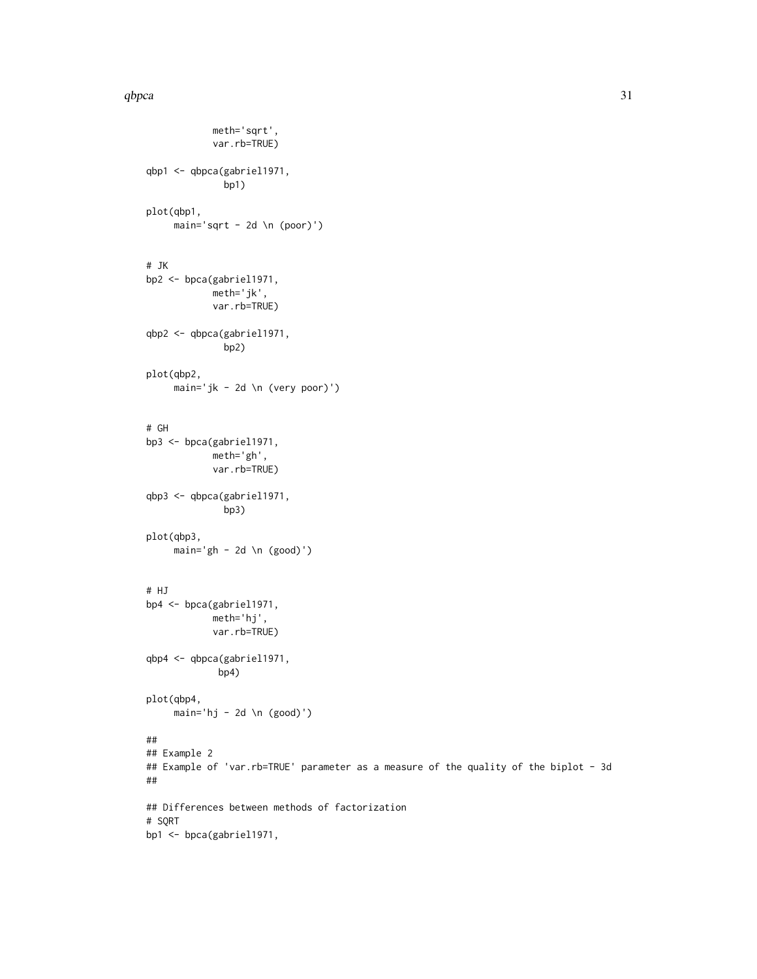#### qbpca  $\frac{31}{2}$

```
meth='sqrt',
            var.rb=TRUE)
qbp1 <- qbpca(gabriel1971,
              bp1)
plot(qbp1,
    main='sqrt - 2d \n (poor)')
# JK
bp2 <- bpca(gabriel1971,
            meth='jk',
            var.rb=TRUE)
qbp2 <- qbpca(gabriel1971,
              bp2)
plot(qbp2,
    main='jk - 2d \n (very poor)')
# GH
bp3 <- bpca(gabriel1971,
            meth='gh',
            var.rb=TRUE)
qbp3 <- qbpca(gabriel1971,
              bp3)
plot(qbp3,
    main='gh - 2d \n\leq (good)')# HJ
bp4 <- bpca(gabriel1971,
            meth='hj',
            var.rb=TRUE)
qbp4 <- qbpca(gabriel1971,
             bp4)
plot(qbp4,
     main='hj - 2d \n (good)')
##
## Example 2
## Example of 'var.rb=TRUE' parameter as a measure of the quality of the biplot - 3d
##
## Differences between methods of factorization
# SQRT
bp1 <- bpca(gabriel1971,
```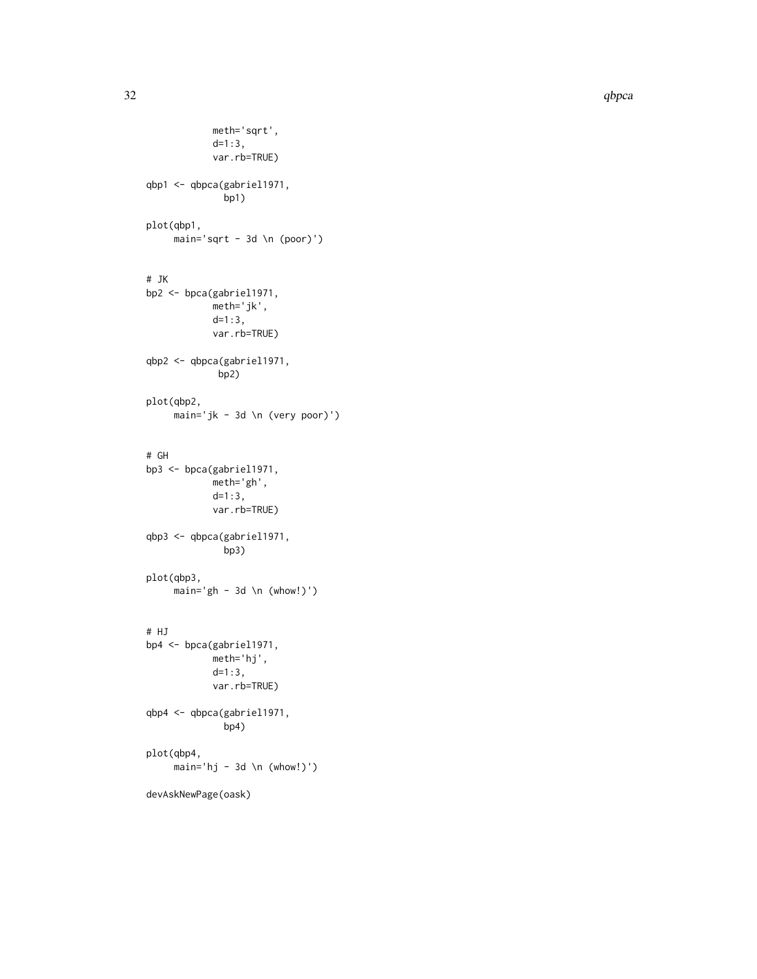```
meth='sqrt',
            d=1:3,
            var.rb=TRUE)
qbp1 <- qbpca(gabriel1971,
              bp1)
plot(qbp1,
    main='sqrt - 3d \n\in (poor)')# JK
bp2 <- bpca(gabriel1971,
            meth='jk',
            d=1:3,
            var.rb=TRUE)
qbp2 <- qbpca(gabriel1971,
             bp2)
plot(qbp2,
    main='jk - 3d \n (very poor)')
# GH
bp3 <- bpca(gabriel1971,
            meth='gh',
            d=1:3,
            var.rb=TRUE)
qbp3 <- qbpca(gabriel1971,
              bp3)
plot(qbp3,
    main='gh - 3d \n\in (whow!)')# HJ
bp4 <- bpca(gabriel1971,
            meth='hj',
            d=1:3,
            var.rb=TRUE)
qbp4 <- qbpca(gabriel1971,
              bp4)
plot(qbp4,
    main='hj - 3d \n (whow!)')
devAskNewPage(oask)
```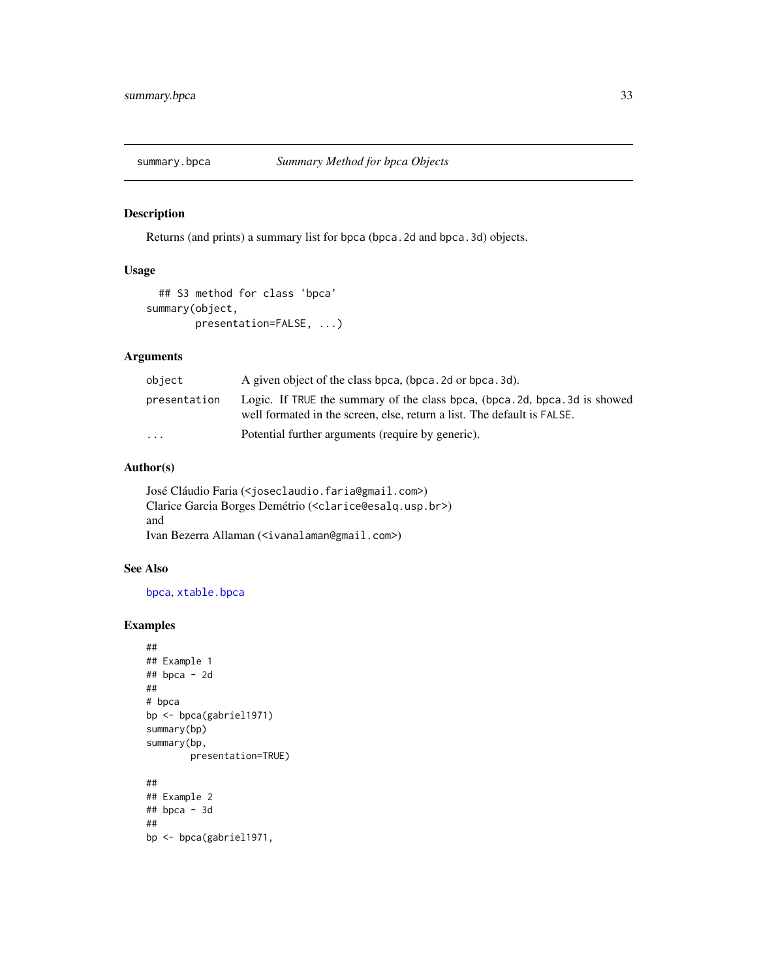<span id="page-32-0"></span>

# Description

Returns (and prints) a summary list for bpca (bpca.2d and bpca.3d) objects.

# Usage

```
## S3 method for class 'bpca'
summary(object,
        presentation=FALSE, ...)
```
# Arguments

| object                  | A given object of the class bpca, (bpca, 2d or bpca, 3d).                                                                                              |
|-------------------------|--------------------------------------------------------------------------------------------------------------------------------------------------------|
| presentation            | Logic. If TRUE the summary of the class bpca, (bpca. 2d, bpca. 3d is showed<br>well formated in the screen, else, return a list. The default is FALSE. |
| $\cdot$ $\cdot$ $\cdot$ | Potential further arguments (require by generic).                                                                                                      |

# Author(s)

```
José Cláudio Faria (<joseclaudio.faria@gmail.com>)
Clarice Garcia Borges Demétrio (<clarice@esalq.usp.br>)
and
Ivan Bezerra Allaman (<ivanalaman@gmail.com>)
```
# See Also

[bpca](#page-5-1), [xtable.bpca](#page-37-1)

```
##
## Example 1
## bpca - 2d
##
# bpca
bp <- bpca(gabriel1971)
summary(bp)
summary(bp,
        presentation=TRUE)
##
## Example 2
## bpca - 3d
##
bp <- bpca(gabriel1971,
```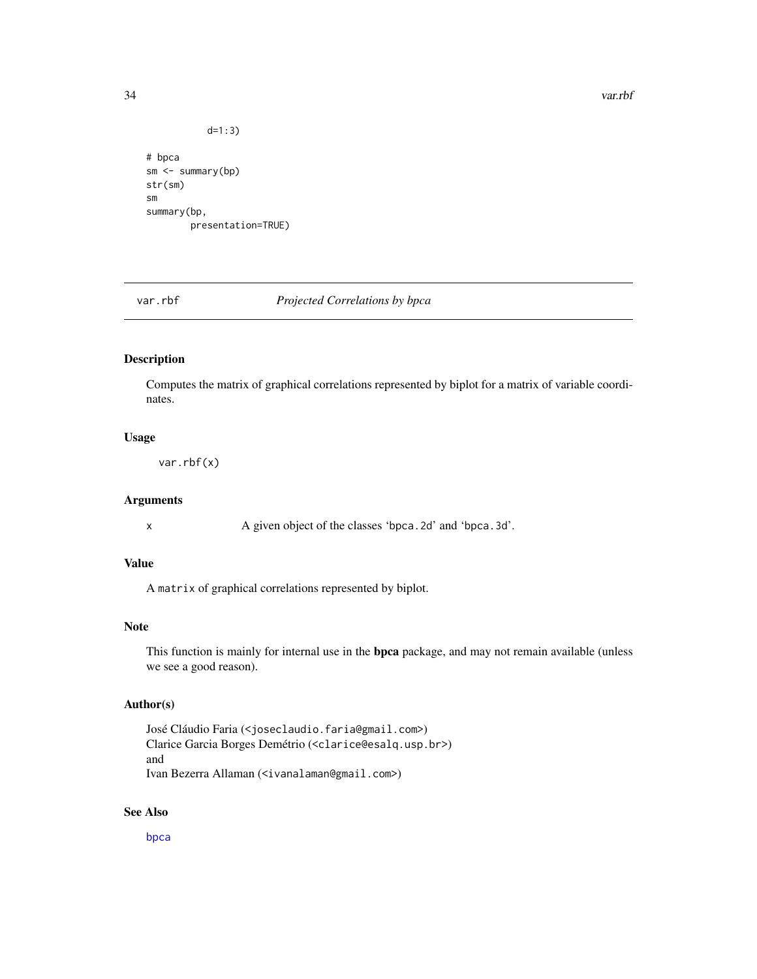#### 34 var.rbf

```
d=1:3)
# bpca
```

```
sm <- summary(bp)
str(sm)
sm
summary(bp,
        presentation=TRUE)
```
# var.rbf *Projected Correlations by bpca*

# Description

Computes the matrix of graphical correlations represented by biplot for a matrix of variable coordinates.

#### Usage

var.rbf(x)

# Arguments

x A given object of the classes 'bpca.2d' and 'bpca.3d'.

# Value

A matrix of graphical correlations represented by biplot.

# Note

This function is mainly for internal use in the bpca package, and may not remain available (unless we see a good reason).

#### Author(s)

José Cláudio Faria (<joseclaudio.faria@gmail.com>) Clarice Garcia Borges Demétrio (<clarice@esalq.usp.br>) and Ivan Bezerra Allaman (<ivanalaman@gmail.com>)

# See Also

[bpca](#page-5-1)

<span id="page-33-0"></span>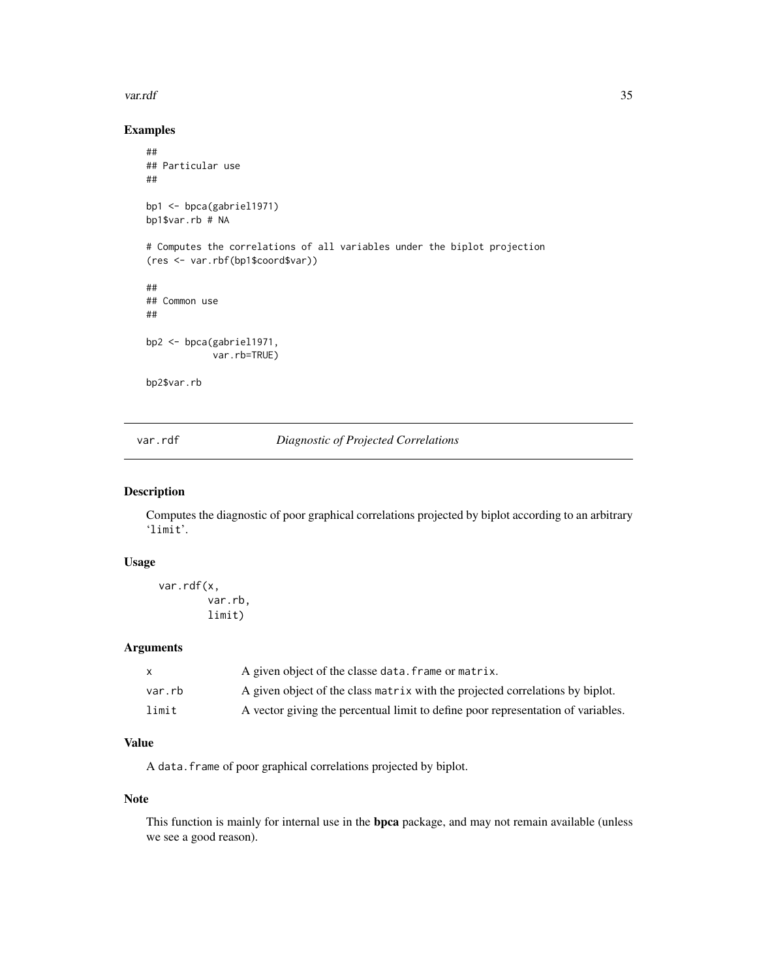#### <span id="page-34-0"></span>var.rdf 35

# Examples

```
##
## Particular use
##
bp1 <- bpca(gabriel1971)
bp1$var.rb # NA
# Computes the correlations of all variables under the biplot projection
(res <- var.rbf(bp1$coord$var))
##
## Common use
##
bp2 <- bpca(gabriel1971,
            var.rb=TRUE)
bp2$var.rb
```
var.rdf *Diagnostic of Projected Correlations*

#### Description

Computes the diagnostic of poor graphical correlations projected by biplot according to an arbitrary 'limit'.

#### Usage

var.rdf(x, var.rb, limit)

#### Arguments

|        | A given object of the classe data. frame or matrix.                              |
|--------|----------------------------------------------------------------------------------|
| var.rb | A given object of the class matrix with the projected correlations by biplot.    |
| limit  | A vector giving the percentual limit to define poor representation of variables. |

# Value

A data.frame of poor graphical correlations projected by biplot.

### Note

This function is mainly for internal use in the bpca package, and may not remain available (unless we see a good reason).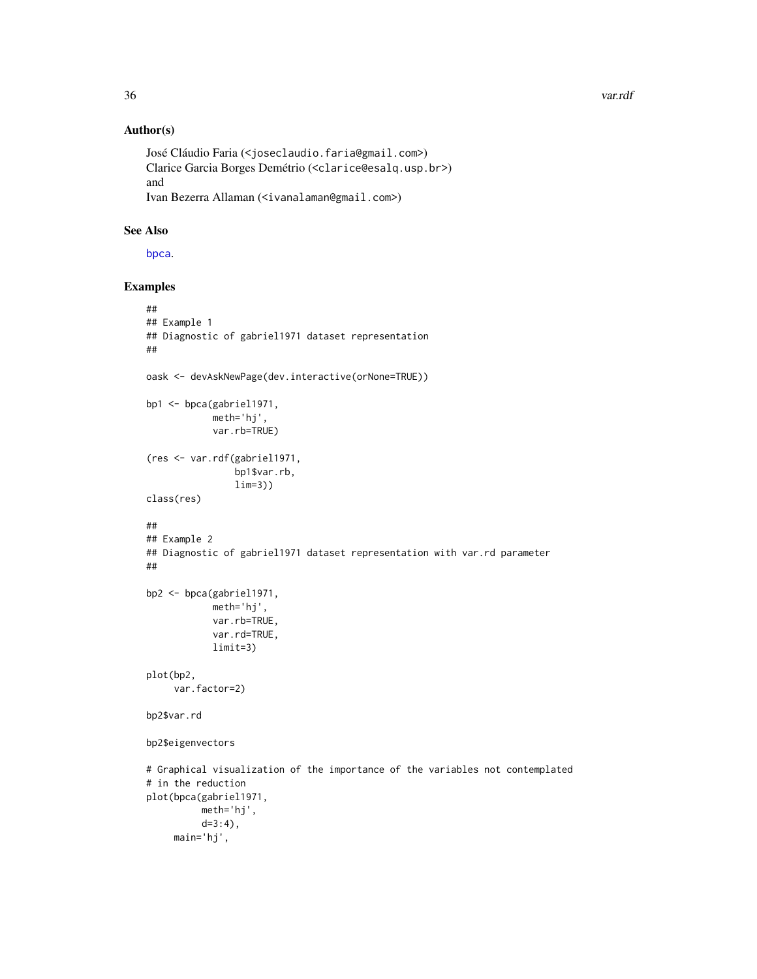### Author(s)

```
José Cláudio Faria (<joseclaudio.faria@gmail.com>)
Clarice Garcia Borges Demétrio (<clarice@esalq.usp.br>)
and
Ivan Bezerra Allaman (<ivanalaman@gmail.com>)
```
# See Also

[bpca](#page-5-1).

```
##
## Example 1
## Diagnostic of gabriel1971 dataset representation
##
oask <- devAskNewPage(dev.interactive(orNone=TRUE))
bp1 <- bpca(gabriel1971,
            meth='hj',
            var.rb=TRUE)
(res <- var.rdf(gabriel1971,
                bp1$var.rb,
                lim=3))
class(res)
##
## Example 2
## Diagnostic of gabriel1971 dataset representation with var.rd parameter
##
bp2 <- bpca(gabriel1971,
            meth='hj',
            var.rb=TRUE,
            var.rd=TRUE,
           limit=3)
plot(bp2,
     var.factor=2)
bp2$var.rd
bp2$eigenvectors
# Graphical visualization of the importance of the variables not contemplated
# in the reduction
plot(bpca(gabriel1971,
         meth='hj',
          d=3:4),
    main='hj',
```
<span id="page-35-0"></span>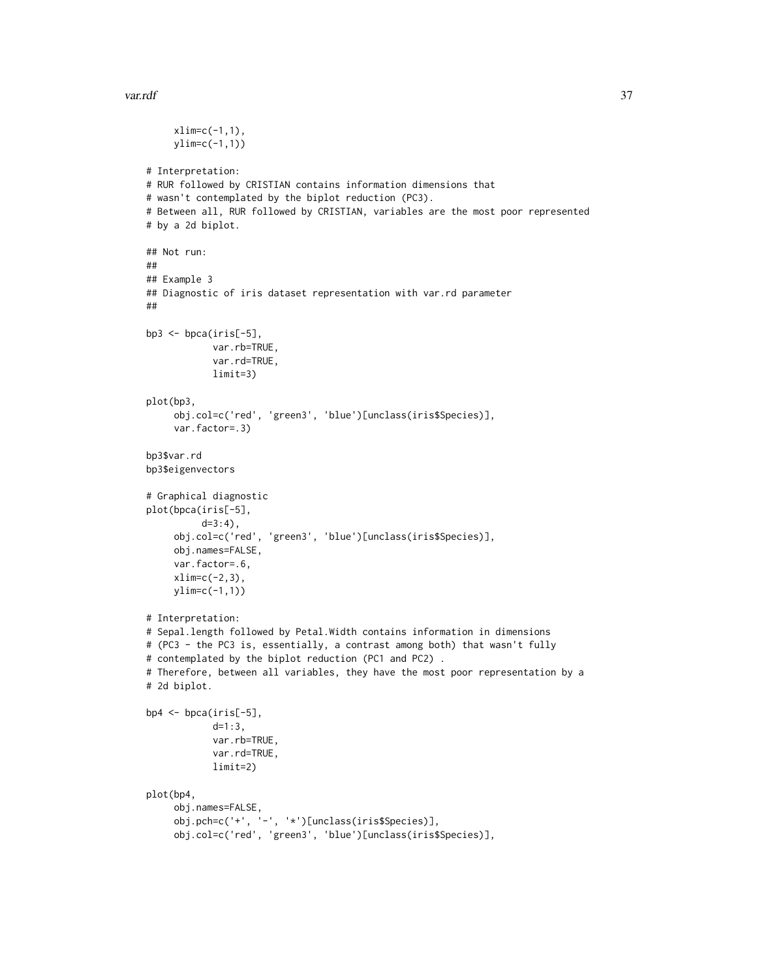#### var.rdf 37

```
xlim=c(-1,1),ylim=c(-1,1))
# Interpretation:
# RUR followed by CRISTIAN contains information dimensions that
# wasn't contemplated by the biplot reduction (PC3).
# Between all, RUR followed by CRISTIAN, variables are the most poor represented
# by a 2d biplot.
## Not run:
##
## Example 3
## Diagnostic of iris dataset representation with var.rd parameter
##
bp3 <- bpca(iris[-5],
            var.rb=TRUE,
            var.rd=TRUE,
            limit=3)
plot(bp3,
     obj.col=c('red', 'green3', 'blue')[unclass(iris$Species)],
     var.factor=.3)
bp3$var.rd
bp3$eigenvectors
# Graphical diagnostic
plot(bpca(iris[-5],
          d=3:4),
     obj.col=c('red', 'green3', 'blue')[unclass(iris$Species)],
     obj.names=FALSE,
     var.factor=.6,
     xlim=c(-2,3),ylim=c(-1,1))
# Interpretation:
# Sepal.length followed by Petal.Width contains information in dimensions
# (PC3 - the PC3 is, essentially, a contrast among both) that wasn't fully
# contemplated by the biplot reduction (PC1 and PC2) .
# Therefore, between all variables, they have the most poor representation by a
# 2d biplot.
bp4 <- bpca(iris[-5],
            d=1:3,
            var.rb=TRUE,
            var.rd=TRUE,
            limit=2)
plot(bp4,
     obj.names=FALSE,
     obj.pch=c('+', '-', '*')[unclass(iris$Species)],
     obj.col=c('red', 'green3', 'blue')[unclass(iris$Species)],
```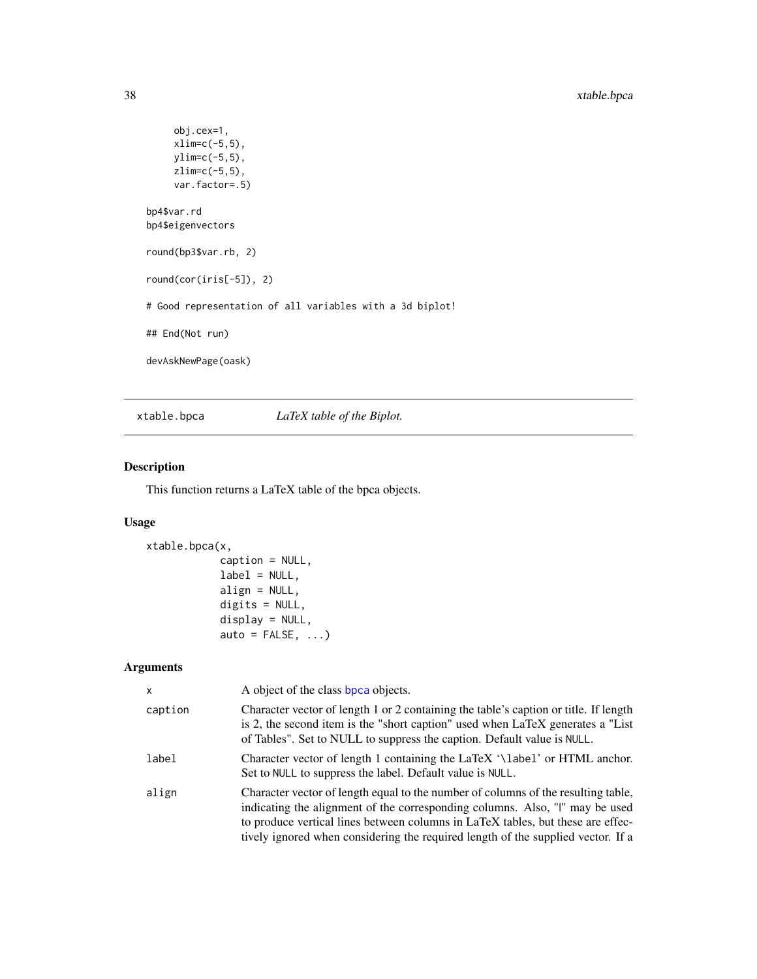```
obj.cex=1,
    xlim=c(-5,5),
    ylim=c(-5,5),
    zlim=c(-5,5),
    var.factor=.5)
bp4$var.rd
bp4$eigenvectors
round(bp3$var.rb, 2)
round(cor(iris[-5]), 2)
# Good representation of all variables with a 3d biplot!
## End(Not run)
devAskNewPage(oask)
```
<span id="page-37-1"></span>xtable.bpca *LaTeX table of the Biplot.*

# Description

This function returns a LaTeX table of the bpca objects.

# Usage

```
xtable.bpca(x,
            caption = NULL,
            label = NULL,align = NULL,
            digits = NULL,
            display = NULL,
            auto = FALSE, ...)
```
# Arguments

| x       | A object of the class bpca objects.                                                                                                                                                                                                                                                                                                      |
|---------|------------------------------------------------------------------------------------------------------------------------------------------------------------------------------------------------------------------------------------------------------------------------------------------------------------------------------------------|
| caption | Character vector of length 1 or 2 containing the table's caption or title. If length<br>is 2, the second item is the "short caption" used when LaTeX generates a "List"<br>of Tables". Set to NULL to suppress the caption. Default value is NULL.                                                                                       |
| label   | Character vector of length 1 containing the LaTeX '\label' or HTML anchor.<br>Set to NULL to suppress the label. Default value is NULL.                                                                                                                                                                                                  |
| align   | Character vector of length equal to the number of columns of the resulting table,<br>indicating the alignment of the corresponding columns. Also, "I" may be used<br>to produce vertical lines between columns in LaTeX tables, but these are effec-<br>tively ignored when considering the required length of the supplied vector. If a |

<span id="page-37-0"></span>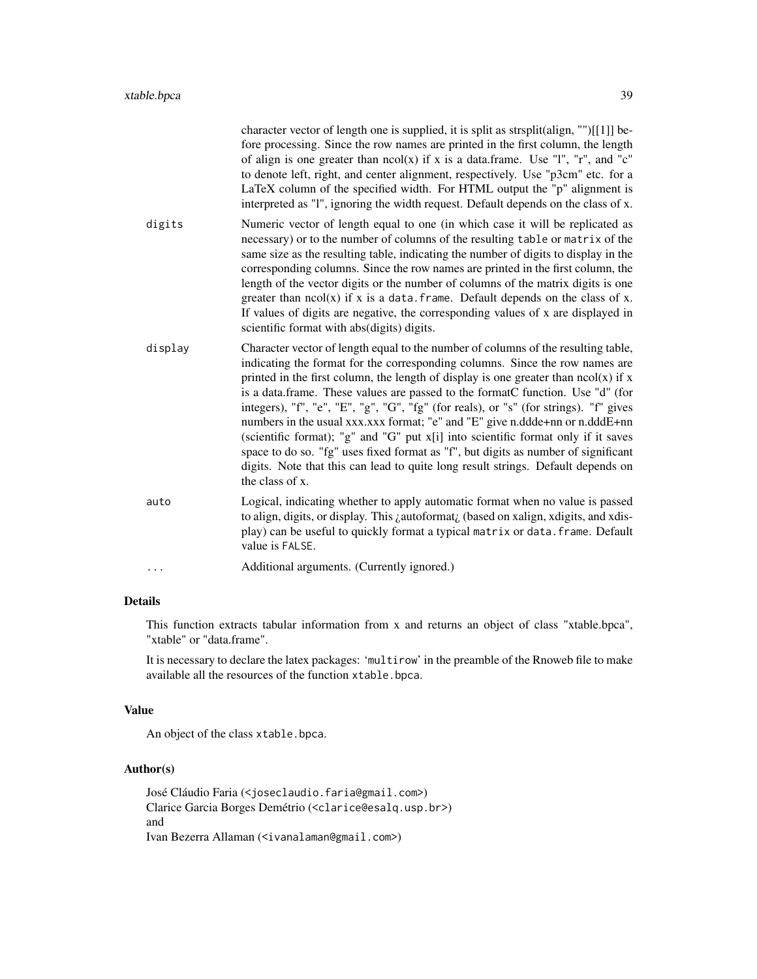|         | character vector of length one is supplied, it is split as strsplit(align, "")[[1]] be-<br>fore processing. Since the row names are printed in the first column, the length<br>of align is one greater than $ncol(x)$ if x is a data.frame. Use "1", "r", and "c"<br>to denote left, right, and center alignment, respectively. Use "p3cm" etc. for a<br>LaTeX column of the specified width. For HTML output the "p" alignment is<br>interpreted as "1", ignoring the width request. Default depends on the class of x.                                                                                                                                                                                                                                                                                |
|---------|---------------------------------------------------------------------------------------------------------------------------------------------------------------------------------------------------------------------------------------------------------------------------------------------------------------------------------------------------------------------------------------------------------------------------------------------------------------------------------------------------------------------------------------------------------------------------------------------------------------------------------------------------------------------------------------------------------------------------------------------------------------------------------------------------------|
| digits  | Numeric vector of length equal to one (in which case it will be replicated as<br>necessary) or to the number of columns of the resulting table or matrix of the<br>same size as the resulting table, indicating the number of digits to display in the<br>corresponding columns. Since the row names are printed in the first column, the<br>length of the vector digits or the number of columns of the matrix digits is one<br>greater than $ncol(x)$ if x is a data. frame. Default depends on the class of x.<br>If values of digits are negative, the corresponding values of x are displayed in<br>scientific format with abs(digits) digits.                                                                                                                                                     |
| display | Character vector of length equal to the number of columns of the resulting table,<br>indicating the format for the corresponding columns. Since the row names are<br>printed in the first column, the length of display is one greater than $ncol(x)$ if x<br>is a data.frame. These values are passed to the formatC function. Use "d" (for<br>integers), "f", "e", "E", "g", "G", "fg" (for reals), or "s" (for strings). "f" gives<br>numbers in the usual xxx.xxx format; "e" and "E" give n.ddde+nn or n.dddE+nn<br>(scientific format); "g" and "G" put x[i] into scientific format only if it saves<br>space to do so. "fg" uses fixed format as "f", but digits as number of significant<br>digits. Note that this can lead to quite long result strings. Default depends on<br>the class of x. |
| auto    | Logical, indicating whether to apply automatic format when no value is passed<br>to align, digits, or display. This <i>i</i> autoformat <sub>i</sub> (based on xalign, xdigits, and xdis-<br>play) can be useful to quickly format a typical matrix or data. frame. Default<br>value is FALSE.                                                                                                                                                                                                                                                                                                                                                                                                                                                                                                          |
|         | Additional arguments. (Currently ignored.)                                                                                                                                                                                                                                                                                                                                                                                                                                                                                                                                                                                                                                                                                                                                                              |

# Details

This function extracts tabular information from x and returns an object of class "xtable.bpca", "xtable" or "data.frame".

It is necessary to declare the latex packages: 'multirow' in the preamble of the Rnoweb file to make available all the resources of the function xtable.bpca.

# Value

An object of the class xtable.bpca.

# Author(s)

José Cláudio Faria (<joseclaudio.faria@gmail.com>) Clarice Garcia Borges Demétrio (<clarice@esalq.usp.br>) and Ivan Bezerra Allaman (<ivanalaman@gmail.com>)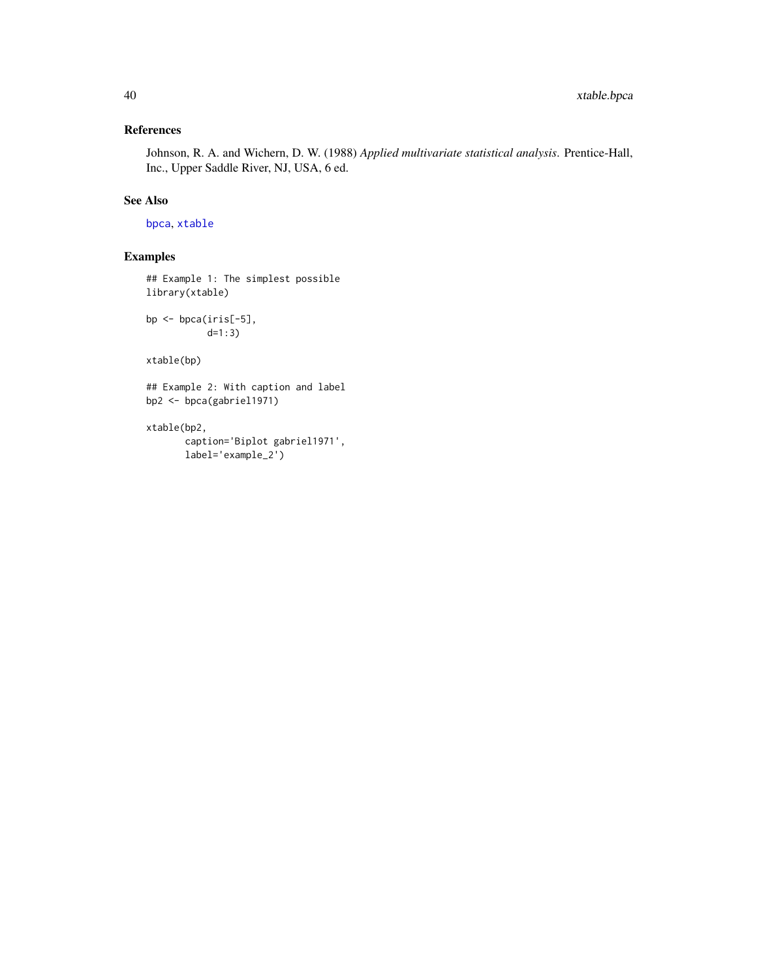# <span id="page-39-0"></span>References

Johnson, R. A. and Wichern, D. W. (1988) *Applied multivariate statistical analysis*. Prentice-Hall, Inc., Upper Saddle River, NJ, USA, 6 ed.

# See Also

[bpca](#page-5-1), [xtable](#page-0-0)

# Examples

## Example 1: The simplest possible library(xtable)

bp <- bpca(iris[-5], d=1:3)

xtable(bp)

## Example 2: With caption and label bp2 <- bpca(gabriel1971)

xtable(bp2,

```
caption='Biplot gabriel1971',
label='example_2')
```